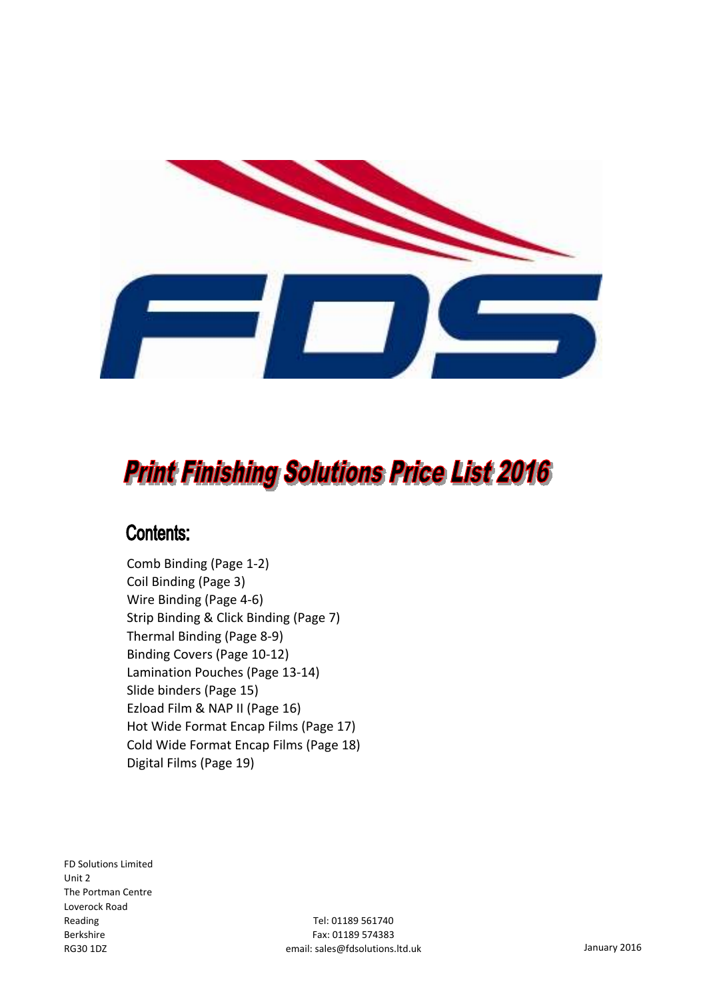

## **Print Finishing Solutions Price List 2016**

### **Contents:**

Comb Binding (Page 1-2) Coil Binding (Page 3) Wire Binding (Page 4-6) Strip Binding & Click Binding (Page 7) Thermal Binding (Page 8-9) Binding Covers (Page 10-12) Lamination Pouches (Page 13-14) Slide binders (Page 15) Ezload Film & NAP II (Page 16) Hot Wide Format Encap Films (Page 17) Cold Wide Format Encap Films (Page 18) Digital Films (Page 19)

FD Solutions Limited Unit 2 The Portman Centre Loverock Road Reading Berkshire RG30 1DZ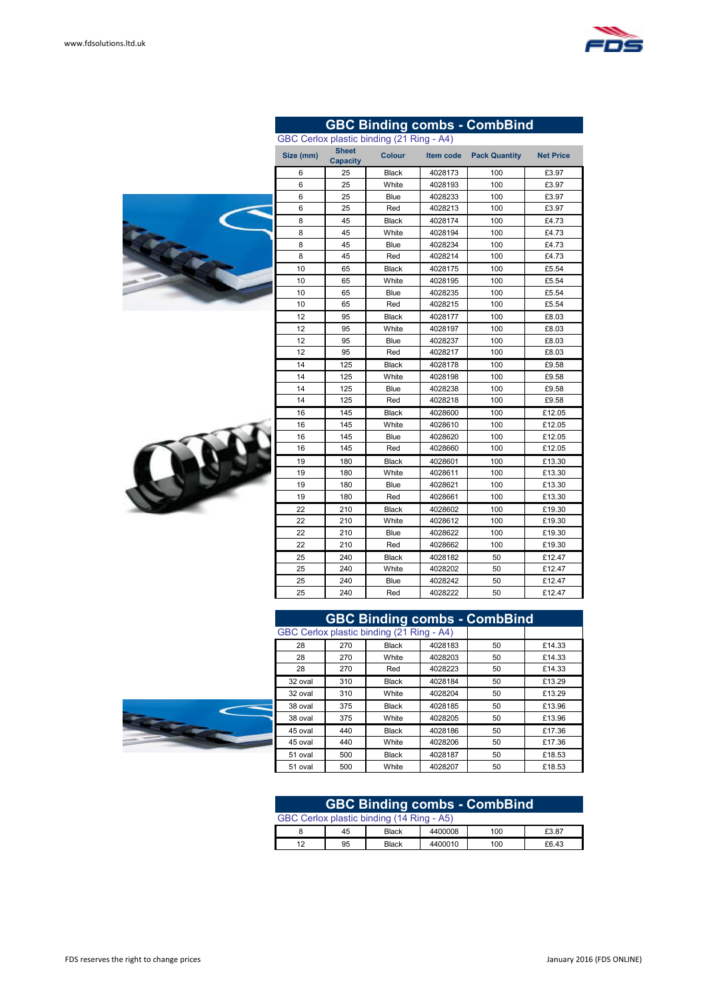

**GBC Binding combs - CombBind**



| <b>GBC Binding combs - CombBind</b> |     |                                           |         |    |        |  |  |  |  |
|-------------------------------------|-----|-------------------------------------------|---------|----|--------|--|--|--|--|
|                                     |     | GBC Cerlox plastic binding (21 Ring - A4) |         |    |        |  |  |  |  |
| 28                                  | 270 | Black                                     | 4028183 | 50 | £14.33 |  |  |  |  |
| 28                                  | 270 | White                                     | 4028203 | 50 | £14.33 |  |  |  |  |
| 28                                  | 270 | Red                                       | 4028223 | 50 | £14.33 |  |  |  |  |
| 32 oval                             | 310 | Black                                     | 4028184 | 50 | £13.29 |  |  |  |  |
| 32 oval                             | 310 | White                                     | 4028204 | 50 | £13.29 |  |  |  |  |
| 38 oval                             | 375 | Black                                     | 4028185 | 50 | £13.96 |  |  |  |  |
| 38 oval                             | 375 | White                                     | 4028205 | 50 | £13.96 |  |  |  |  |
| 45 oval                             | 440 | Black                                     | 4028186 | 50 | £17.36 |  |  |  |  |
| 45 oval                             | 440 | White                                     | 4028206 | 50 | £17.36 |  |  |  |  |
| 51 oval                             | 500 | <b>Black</b>                              | 4028187 | 50 | £18.53 |  |  |  |  |
| 51 oval                             | 500 | White                                     | 4028207 | 50 | £18.53 |  |  |  |  |

| <b>GBC Binding combs - CombBind</b>       |    |              |         |     |       |  |  |  |
|-------------------------------------------|----|--------------|---------|-----|-------|--|--|--|
| GBC Cerlox plastic binding (14 Ring - A5) |    |              |         |     |       |  |  |  |
|                                           | 45 | <b>Black</b> | 4400008 | 100 | £3.87 |  |  |  |
| 12                                        | 95 | <b>Black</b> | 4400010 | 100 | £6.43 |  |  |  |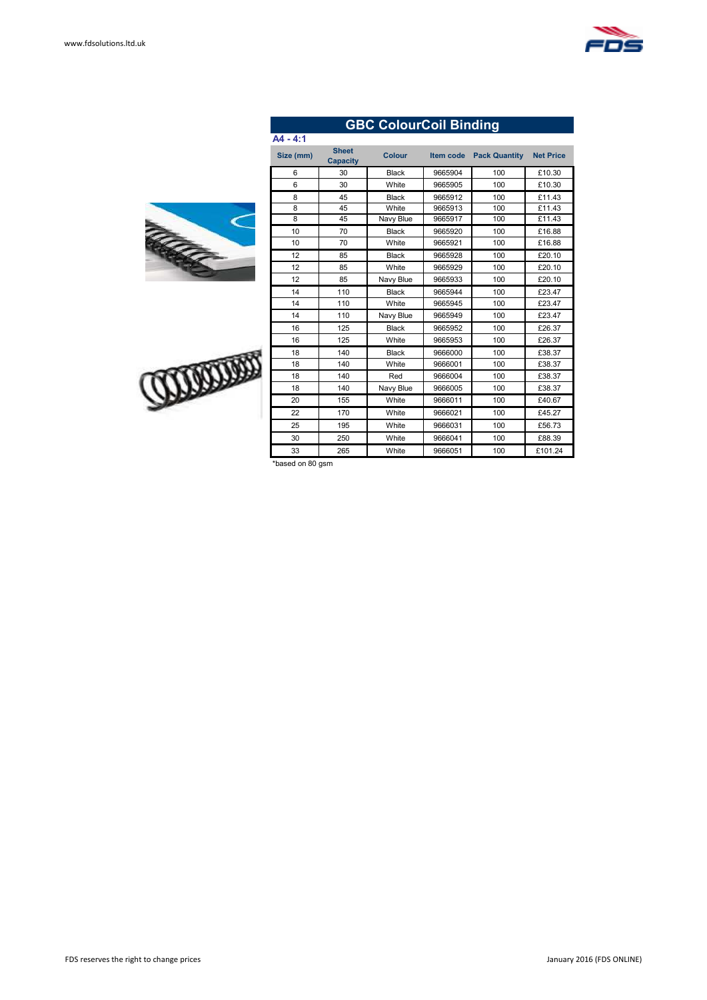# Come C

**COUNTY** 

| A4 - 4:1      |                                 |               |           |                      |                  |
|---------------|---------------------------------|---------------|-----------|----------------------|------------------|
| Size (mm)     | <b>Sheet</b><br><b>Capacity</b> | <b>Colour</b> | Item code | <b>Pack Quantity</b> | <b>Net Price</b> |
| 6             | 30                              | <b>Black</b>  | 9665904   | 100                  | £10.30           |
| 6             | 30                              | White         | 9665905   | 100                  | £10.30           |
| 8             | 45                              | <b>Black</b>  | 9665912   | 100                  | £11.43           |
| 8             | 45                              | White         | 9665913   | 100                  | £11.43           |
| 8             | 45                              | Navy Blue     | 9665917   | 100                  | £11.43           |
| 10            | 70                              | <b>Black</b>  | 9665920   | 100                  | £16.88           |
| 10            | 70                              | White         | 9665921   | 100                  | £16.88           |
| 12            | 85                              | <b>Black</b>  | 9665928   | 100                  | £20.10           |
| 12            | 85                              | White         | 9665929   | 100                  | £20.10           |
| 12            | 85                              | Navy Blue     | 9665933   | 100                  | £20.10           |
| 14            | 110                             | <b>Black</b>  | 9665944   | 100                  | £23.47           |
| 14            | 110                             | White         | 9665945   | 100                  | £23.47           |
| 14            | 110                             | Navy Blue     | 9665949   | 100                  | £23.47           |
| 16            | 125                             | <b>Black</b>  | 9665952   | 100                  | £26.37           |
| 16            | 125                             | White         | 9665953   | 100                  | £26.37           |
| 18            | 140                             | <b>Black</b>  | 9666000   | 100                  | £38.37           |
| 18            | 140                             | White         | 9666001   | 100                  | £38.37           |
| 18            | 140                             | Red           | 9666004   | 100                  | £38.37           |
| 18            | 140                             | Navy Blue     | 9666005   | 100                  | £38.37           |
| 20            | 155                             | White         | 9666011   | 100                  | £40.67           |
| 22            | 170                             | White         | 9666021   | 100                  | £45.27           |
| 25            | 195                             | White         | 9666031   | 100                  | £56.73           |
| 30            | 250                             | White         | 9666041   | 100                  | £88.39           |
| 33            | 265                             | White         | 9666051   | 100                  | £101.24          |
| 41.<br>$\sim$ |                                 |               |           |                      |                  |

**GBC ColourCoil Binding**

ed on 80 gsm

| ' socomeon tha sisht to chongo prices |  |  |
|---------------------------------------|--|--|

#### FDS reserves the right to change prices **FUS CONCIDENTS** January 2016 (FDS ONLINE)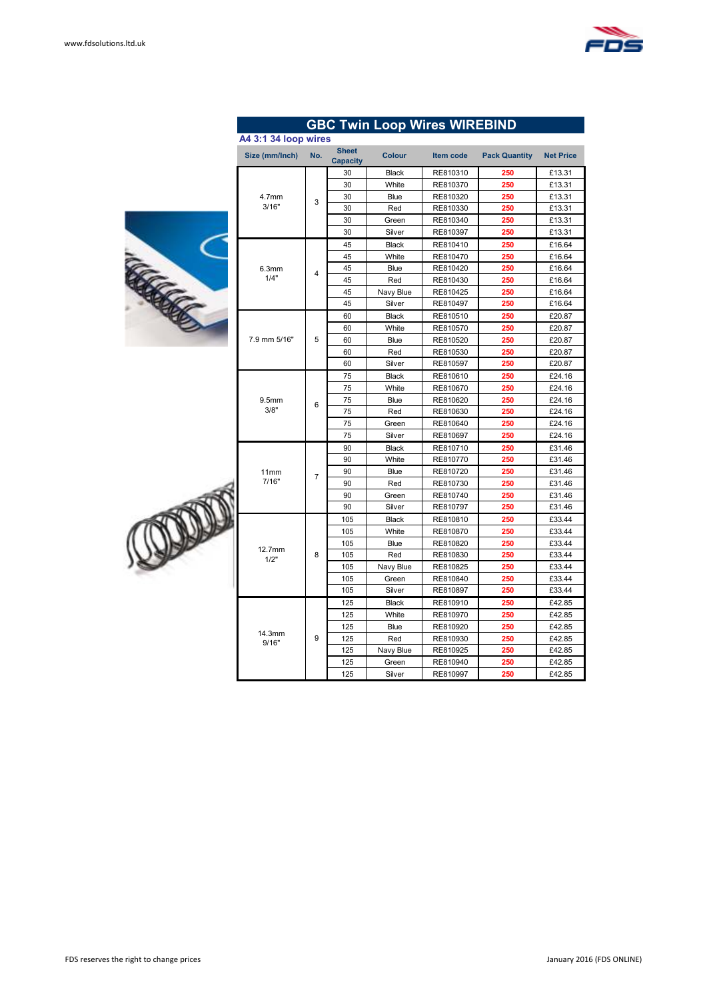

|  |                      |                |                                 |               | <b>GBC Twin Loop Wires WIREBIND</b> |                      |                  |
|--|----------------------|----------------|---------------------------------|---------------|-------------------------------------|----------------------|------------------|
|  | A4 3:1 34 loop wires |                |                                 |               |                                     |                      |                  |
|  | Size (mm/lnch)       | No.            | <b>Sheet</b><br><b>Capacity</b> | <b>Colour</b> | <b>Item code</b>                    | <b>Pack Quantity</b> | <b>Net Price</b> |
|  |                      |                | 30                              | <b>Black</b>  | RE810310                            | 250                  | £13.31           |
|  |                      |                | 30                              | White         | RE810370                            | 250                  | £13.31           |
|  | 4.7 <sub>mm</sub>    | 3              | 30                              | Blue          | RE810320                            | 250                  | £13.31           |
|  | 3/16"                |                | 30                              | Red           | RE810330                            | 250                  | £13.31           |
|  |                      |                | 30                              | Green         | RE810340                            | 250                  | £13.31           |
|  |                      |                | 30                              | Silver        | RE810397                            | 250                  | £13.31           |
|  |                      |                | 45                              | <b>Black</b>  | RE810410                            | 250                  | £16.64           |
|  |                      |                | 45                              | White         | RE810470                            | 250                  | £16.64           |
|  | 6.3mm                | 4              | 45                              | Blue          | RE810420                            | 250                  | £16.64           |
|  | 1/4"                 |                | 45                              | Red           | RE810430                            | 250                  | £16.64           |
|  |                      |                | 45                              | Navy Blue     | RE810425                            | 250                  | £16.64           |
|  |                      |                | 45                              | Silver        | RE810497                            | 250                  | £16.64           |
|  |                      |                | 60                              | <b>Black</b>  | RE810510                            | 250                  | £20.87           |
|  |                      |                | 60                              | White         | RE810570                            | 250                  | £20.87           |
|  | 7.9 mm 5/16"         | 5              | 60                              | Blue          | RE810520                            | 250                  | £20.87           |
|  |                      |                | 60                              | Red           | RE810530                            | 250                  | £20.87           |
|  |                      |                | 60                              | Silver        | RE810597                            | 250                  | £20.87           |
|  | 9.5mm<br>3/8"        | 6              | 75                              | <b>Black</b>  | RE810610                            | 250                  | £24.16           |
|  |                      |                | 75                              | White         | RE810670                            | 250                  | £24.16           |
|  |                      |                | 75                              | Blue          | RE810620                            | 250                  | £24.16           |
|  |                      |                | 75                              | Red           | RE810630                            | 250                  | £24.16           |
|  |                      |                | 75                              | Green         | RE810640                            | 250                  | £24.16           |
|  |                      |                | 75                              | Silver        | RE810697                            | 250                  | £24.16           |
|  |                      |                | 90                              | <b>Black</b>  | RE810710                            | 250                  | £31.46           |
|  |                      |                | 90                              | White         | RE810770                            | 250                  | £31.46           |
|  | 11mm                 | $\overline{7}$ | 90                              | Blue          | RE810720                            | 250                  | £31.46           |
|  | 7/16"                |                | 90                              | Red           | RE810730                            | 250                  | £31.46           |
|  |                      |                | 90                              | Green         | RE810740                            | 250                  | £31.46           |
|  |                      |                | 90                              | Silver        | RE810797                            | 250                  | £31.46           |
|  |                      |                | 105                             | <b>Black</b>  | RE810810                            | 250                  | £33.44           |
|  |                      |                | 105                             | White         | RE810870                            | 250                  | £33.44           |
|  | 12.7mm               |                | 105                             | Blue          | RE810820                            | 250                  | £33.44           |
|  | 1/2"                 | 8              | 105                             | Red           | RE810830                            | 250                  | £33.44           |
|  |                      |                | 105                             | Navy Blue     | RE810825                            | 250                  | £33.44           |
|  |                      |                | 105                             | Green         | RE810840                            | 250                  | £33.44           |
|  |                      |                | 105                             | Silver        | RE810897                            | 250                  | £33.44           |
|  |                      |                | 125                             | <b>Black</b>  | RE810910                            | 250                  | £42.85           |
|  |                      |                | 125                             | White         | RE810970                            | 250                  | £42.85           |
|  | 14.3mm               |                | 125                             | Blue          | RE810920                            | 250                  | £42.85           |
|  | 9/16"                | 9              | 125                             | Red           | RE810930                            | 250                  | £42.85           |
|  |                      |                | 125                             | Navy Blue     | RE810925                            | 250                  | £42.85           |
|  |                      |                | 125                             | Green         | RE810940                            | 250                  | £42.85           |
|  |                      |                | 125                             | Silver        | RE810997                            | 250                  | £42.85           |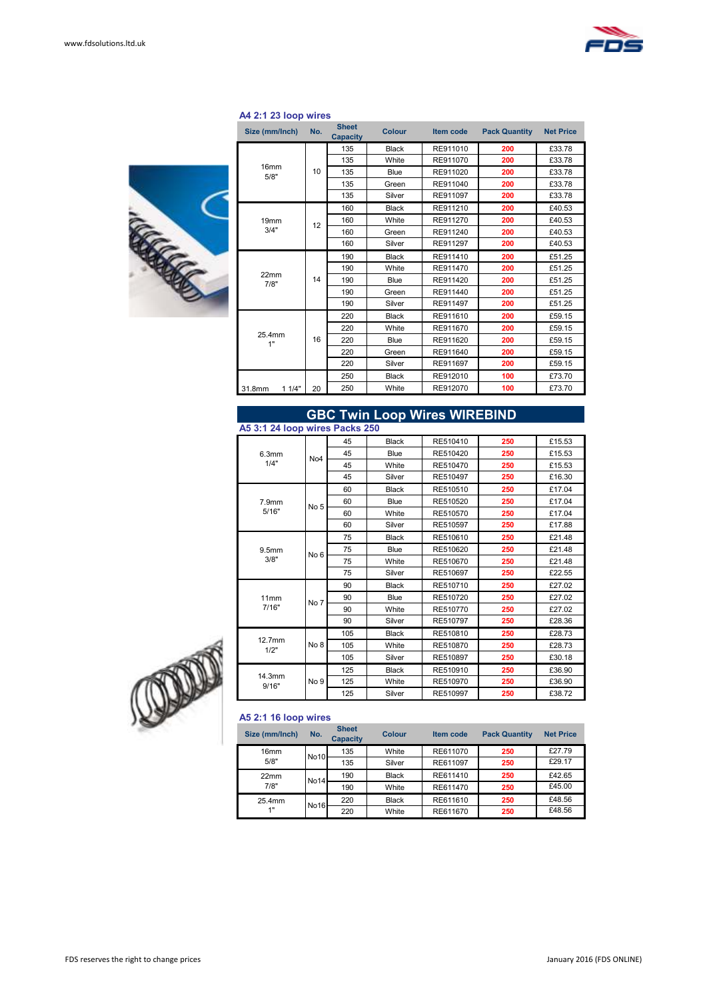

#### **A4 2:1 23 loop wires**



| Size (mm/Inch)           | No. | <b>Sheet</b><br><b>Capacity</b> | <b>Colour</b> | <b>Item code</b> | <b>Pack Quantity</b> | <b>Net Price</b> |        |
|--------------------------|-----|---------------------------------|---------------|------------------|----------------------|------------------|--------|
|                          |     | 135                             | <b>Black</b>  | RE911010         | 200                  | £33.78           |        |
|                          |     | 135                             | White         | RE911070         | 200                  | £33.78           |        |
| 16 <sub>mm</sub><br>5/8" | 10  | 135                             | Blue          | RE911020         | 200                  | £33.78           |        |
|                          |     | 135                             | Green         | RE911040         | 200                  | £33.78           |        |
|                          |     | 135                             | Silver        | RE911097         | 200                  | £33.78           |        |
|                          |     | 160                             | <b>Black</b>  | RE911210         | 200                  | £40.53           |        |
| 19 <sub>mm</sub>         | 12  | 160                             | White         | RE911270         | 200                  | £40.53           |        |
| 3/4"                     |     | 160                             | Green         | RE911240         | 200                  | £40.53           |        |
|                          |     | 160                             | Silver        | RE911297         | 200                  | £40.53           |        |
|                          | 14  | 190                             | <b>Black</b>  | RE911410         | 200                  | £51.25           |        |
|                          |     |                                 | 190           | White            | RE911470             | 200              | £51.25 |
| 22mm<br>7/8"             |     | 190                             | Blue          | RE911420         | 200                  | £51.25           |        |
|                          |     | 190                             | Green         | RE911440         | 200                  | £51.25           |        |
|                          |     | 190                             | Silver        | RE911497         | 200                  | £51.25           |        |
|                          |     | 220                             | <b>Black</b>  | RE911610         | 200                  | £59.15           |        |
|                          |     | 220                             | White         | RE911670         | 200                  | £59.15           |        |
| 25.4mm<br>1"             | 16  | 220                             | Blue          | RE911620         | 200                  | £59.15           |        |
|                          |     | 220                             | Green         | RE911640         | 200                  | £59.15           |        |
|                          |     | 220                             | Silver        | RE911697         | 200                  | £59.15           |        |
|                          |     | 250                             | <b>Black</b>  | RE912010         | 100                  | £73.70           |        |
| 11/4"<br>31.8mm          | 20  | 250                             | White         | RE912070         | 100                  | £73.70           |        |

#### 45 Black RE510410 **250** £15.53 45 Blue RE510420 **250** £15.53 45 White RE510470 **250** £15.53 45 Silver RE510497 **250** £16.30 60 Black RE510510 **250** £17.04  $RE510520$ 60 White RE510570 **250** £17.04 60 Silver RE510597 **250** £17.88 75 Black RE510610 **250** £21.48 75 Blue RE510620 **250** £21.48 75 White RE510670 **250** £21.48 75 Silver RE510697 **250** £22.55 90 Black RE510710 **250** £27.02 90 Blue RE510720 **250** £27.02 90 White RE510770 **250** £27.02 90 Silver RE510797 **250** £28.36 105 Black RE510810 **250** £28.73 105 White RE510870 **250** £28.73  $RE510897$ 125 Black RE510910 **250** £36.90 125 White RE510970 **250** £36.90 125 Silver RE510997 **250** £38.72 **GBC Twin Loop Wires WIREBIND** 7.9mm 7.9mm<br>5/16" No 5 11mm  $\frac{11}{7}{16"}$  No 7 6.3mm  $1/4"$  No4 **A5 3:1 24 loop wires Packs 250** 12.7mm  $\begin{array}{c} 2.711111 \\ 1/2 \end{array}$  No 8 9.5mm  $3/8"$  No 6 14.3mm  $\begin{array}{c|c}\n 4.3 \text{mm} \\
9/16" \end{array}$  No 9



#### **A5 2:1 16 loop wires**

| Size (mm/lnch)   | No.         | <b>Sheet</b><br><b>Capacity</b> | Colour       | <b>Item code</b> | <b>Pack Quantity</b> | <b>Net Price</b> |
|------------------|-------------|---------------------------------|--------------|------------------|----------------------|------------------|
| 16 <sub>mm</sub> | <b>No10</b> | 135                             | White        | RE611070         | 250                  | £27.79           |
| 5/8"             |             | 135                             | Silver       | RE611097         | 250                  | £29.17           |
| 22mm             | <b>No14</b> | 190                             | <b>Black</b> | RE611410         | 250                  | £42.65           |
| 7/8"             |             | 190                             | White        | RE611470         | 250                  | £45.00           |
| 25.4mm           | <b>No16</b> | 220                             | <b>Black</b> | RE611610         | 250                  | £48.56           |
| 1"               |             | 220                             | White        | RE611670         | 250                  | £48.56           |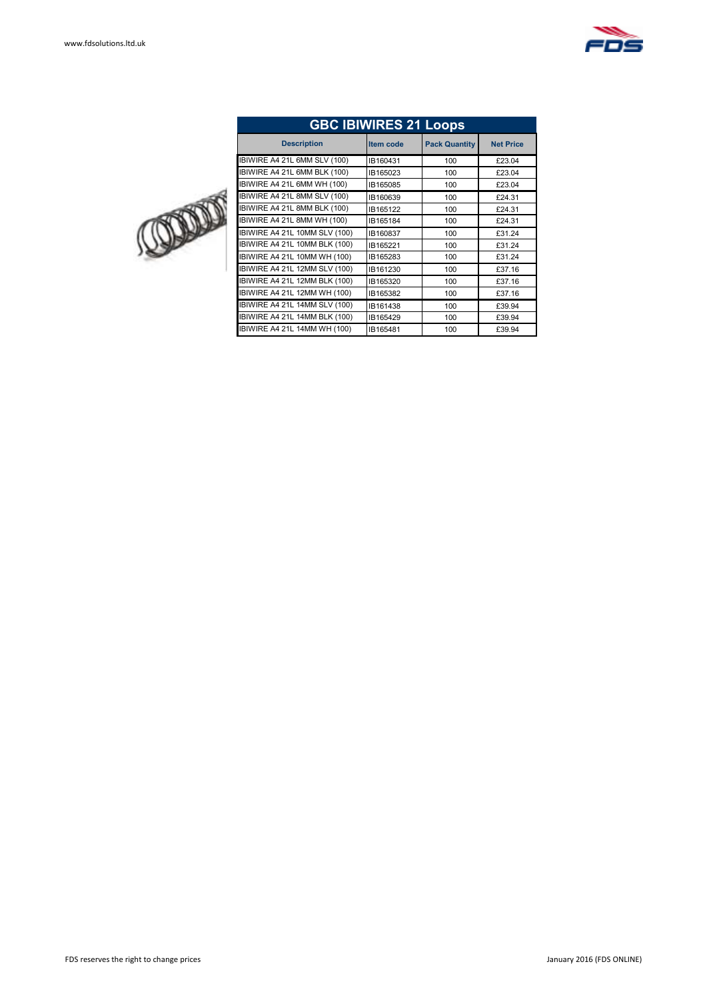

| <b>GBC IBIWIRES 21 Loops</b>         |                  |                      |                  |  |  |  |  |  |  |
|--------------------------------------|------------------|----------------------|------------------|--|--|--|--|--|--|
| <b>Description</b>                   | <b>Item code</b> | <b>Pack Quantity</b> | <b>Net Price</b> |  |  |  |  |  |  |
| BIWIRE A4 21L 6MM SLV (100)          | IB160431         | 100                  | £23.04           |  |  |  |  |  |  |
| BIWIRE A4 21L 6MM BLK (100)          | IB165023         | 100                  | £23.04           |  |  |  |  |  |  |
| IBIWIRE A4 21L 6MM WH (100)          | IB165085         | 100                  | £23.04           |  |  |  |  |  |  |
| IBIWIRE A4 21L 8MM SLV (100)         | IB160639         | 100                  | £24.31           |  |  |  |  |  |  |
| IBIWIRE A4 21L 8MM BLK (100)         | IB165122         | 100                  | £24.31           |  |  |  |  |  |  |
| BIWIRE A4 21L 8MM WH (100)           | IB165184         | 100                  | £24.31           |  |  |  |  |  |  |
| <b>IBIWIRE A4 21L 10MM SLV (100)</b> | IB160837         | 100                  | £31.24           |  |  |  |  |  |  |
| IBIWIRE A4 21L 10MM BLK (100)        | IB165221         | 100                  | £31.24           |  |  |  |  |  |  |
| IBIWIRE A4 21L 10MM WH (100)         | IB165283         | 100                  | £31.24           |  |  |  |  |  |  |
| BIWIRE A4 21L 12MM SLV (100)         | IB161230         | 100                  | £37.16           |  |  |  |  |  |  |
| <b>IBIWIRE A4 21L 12MM BLK (100)</b> | IB165320         | 100                  | £37.16           |  |  |  |  |  |  |
| IBIWIRE A4 21L 12MM WH (100)         | IB165382         | 100                  | £37.16           |  |  |  |  |  |  |
| <b>IBIWIRE A4 21L 14MM SLV (100)</b> | IB161438         | 100                  | £39.94           |  |  |  |  |  |  |
| IBIWIRE A4 21L 14MM BLK (100)        | IB165429         | 100                  | £39.94           |  |  |  |  |  |  |
| IBIWIRE A4 21L 14MM WH (100)         | IB165481         | 100                  | £39.94           |  |  |  |  |  |  |

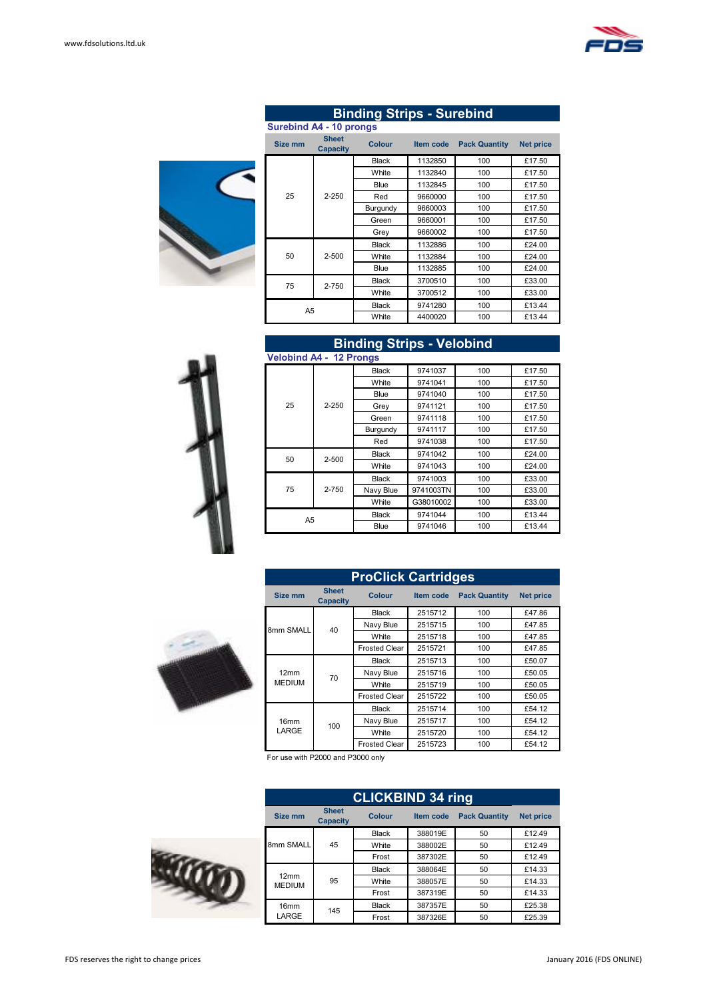



| <b>Binding Strips - Surebind</b> |                                 |               |           |                      |                  |  |  |  |  |
|----------------------------------|---------------------------------|---------------|-----------|----------------------|------------------|--|--|--|--|
| <b>Surebind A4 - 10 prongs</b>   |                                 |               |           |                      |                  |  |  |  |  |
| Size mm                          | <b>Sheet</b><br><b>Capacity</b> | <b>Colour</b> | Item code | <b>Pack Quantity</b> | <b>Net price</b> |  |  |  |  |
|                                  |                                 | <b>Black</b>  | 1132850   | 100                  | £17.50           |  |  |  |  |
|                                  |                                 | White         | 1132840   | 100                  | £17.50           |  |  |  |  |
|                                  |                                 | Blue          | 1132845   | 100                  | £17.50           |  |  |  |  |
| 25                               | $2 - 250$                       | Red           | 9660000   | 100                  | £17.50           |  |  |  |  |
|                                  |                                 | Burgundy      | 9660003   | 100                  | £17.50           |  |  |  |  |
|                                  |                                 | Green         | 9660001   | 100                  | £17.50           |  |  |  |  |
|                                  |                                 | Grey          | 9660002   | 100                  | £17.50           |  |  |  |  |
|                                  |                                 | <b>Black</b>  | 1132886   | 100                  | £24.00           |  |  |  |  |
| 50                               | $2 - 500$                       | White         | 1132884   | 100                  | £24.00           |  |  |  |  |
|                                  |                                 | Blue          | 1132885   | 100                  | £24.00           |  |  |  |  |
| 75                               | 2-750                           | <b>Black</b>  | 3700510   | 100                  | £33.00           |  |  |  |  |
|                                  |                                 | White         | 3700512   | 100                  | £33.00           |  |  |  |  |
| A5                               |                                 | <b>Black</b>  | 9741280   | 100                  | £13.44           |  |  |  |  |
|                                  |                                 | White         | 4400020   | 100                  | £13.44           |  |  |  |  |



| <b>Velobind A4 - 12 Prongs</b> |           |              |           |     |        |  |  |  |
|--------------------------------|-----------|--------------|-----------|-----|--------|--|--|--|
|                                |           | <b>Black</b> | 9741037   | 100 | £17.50 |  |  |  |
|                                |           | White        | 9741041   | 100 | £17.50 |  |  |  |
|                                |           | Blue         | 9741040   | 100 | £17.50 |  |  |  |
| 25                             | $2 - 250$ | Grey         | 9741121   | 100 | £17.50 |  |  |  |
|                                |           | Green        | 9741118   | 100 | £17.50 |  |  |  |
|                                |           | Burgundy     | 9741117   | 100 | £17.50 |  |  |  |
|                                |           | Red          | 9741038   | 100 | £17.50 |  |  |  |
| 50                             | 2-500     | <b>Black</b> | 9741042   | 100 | £24.00 |  |  |  |
|                                |           | White        | 9741043   | 100 | £24.00 |  |  |  |
|                                |           | <b>Black</b> | 9741003   | 100 | £33.00 |  |  |  |
| 75                             | 2-750     | Navy Blue    | 9741003TN | 100 | £33.00 |  |  |  |
|                                |           | White        | G38010002 | 100 | £33.00 |  |  |  |
| A5                             |           | <b>Black</b> | 9741044   | 100 | £13.44 |  |  |  |
|                                |           | Blue         | 9741046   | 100 | £13.44 |  |  |  |

**Binding Strips - Velobind**



| <b>ProClick Cartridges</b> |                                 |                      |                  |                      |                  |  |  |  |
|----------------------------|---------------------------------|----------------------|------------------|----------------------|------------------|--|--|--|
| Size mm                    | <b>Sheet</b><br><b>Capacity</b> | <b>Colour</b>        | <b>Item code</b> | <b>Pack Quantity</b> | <b>Net price</b> |  |  |  |
|                            |                                 | <b>Black</b>         | 2515712          | 100                  | £47.86           |  |  |  |
| 8mm SMALL                  | 40                              | Navy Blue            | 2515715          | 100                  | £47.85           |  |  |  |
|                            |                                 | White                | 2515718          | 100                  | £47.85           |  |  |  |
|                            |                                 | <b>Frosted Clear</b> | 2515721          | 100                  | £47.85           |  |  |  |
|                            |                                 | <b>Black</b>         | 2515713          | 100                  | £50.07           |  |  |  |
| 12mm                       | 70                              | Navy Blue            | 2515716          | 100                  | £50.05           |  |  |  |
| <b>MEDIUM</b>              |                                 | White                | 2515719          | 100                  | £50.05           |  |  |  |
|                            |                                 | <b>Frosted Clear</b> | 2515722          | 100                  | £50.05           |  |  |  |
|                            |                                 | <b>Black</b>         | 2515714          | 100                  | £54.12           |  |  |  |
| 16 <sub>mm</sub>           | 100                             | Navy Blue            | 2515717          | 100                  | £54.12           |  |  |  |
| LARGE                      |                                 | White                | 2515720          | 100                  | £54.12           |  |  |  |
|                            |                                 | <b>Frosted Clear</b> | 2515723          | 100                  | £54.12           |  |  |  |

For use with P2000 and P3000 only

|  |                       | <b>CLICKBIND 34 ring</b>        |               |                  |                      |                  |  |  |  |
|--|-----------------------|---------------------------------|---------------|------------------|----------------------|------------------|--|--|--|
|  | <b>Size mm</b>        | <b>Sheet</b><br><b>Capacity</b> | <b>Colour</b> | <b>Item code</b> | <b>Pack Quantity</b> | <b>Net price</b> |  |  |  |
|  |                       |                                 | <b>Black</b>  | 388019E          | 50                   | £12.49           |  |  |  |
|  | 8mm SMALL             | 45                              | White         | 388002E          | 50                   | £12.49           |  |  |  |
|  |                       |                                 | Frost         | 387302E          | 50                   | £12.49           |  |  |  |
|  |                       |                                 | <b>Black</b>  | 388064E          | 50                   | £14.33           |  |  |  |
|  | 12mm<br><b>MEDIUM</b> | 95                              | White         | 388057E          | 50                   | £14.33           |  |  |  |
|  |                       |                                 | Frost         | 387319E          | 50                   | £14.33           |  |  |  |
|  | 16 <sub>mm</sub>      | 145                             | <b>Black</b>  | 387357E          | 50                   | £25.38           |  |  |  |
|  | LARGE                 |                                 | Frost         | 387326E          | 50                   | £25.39           |  |  |  |

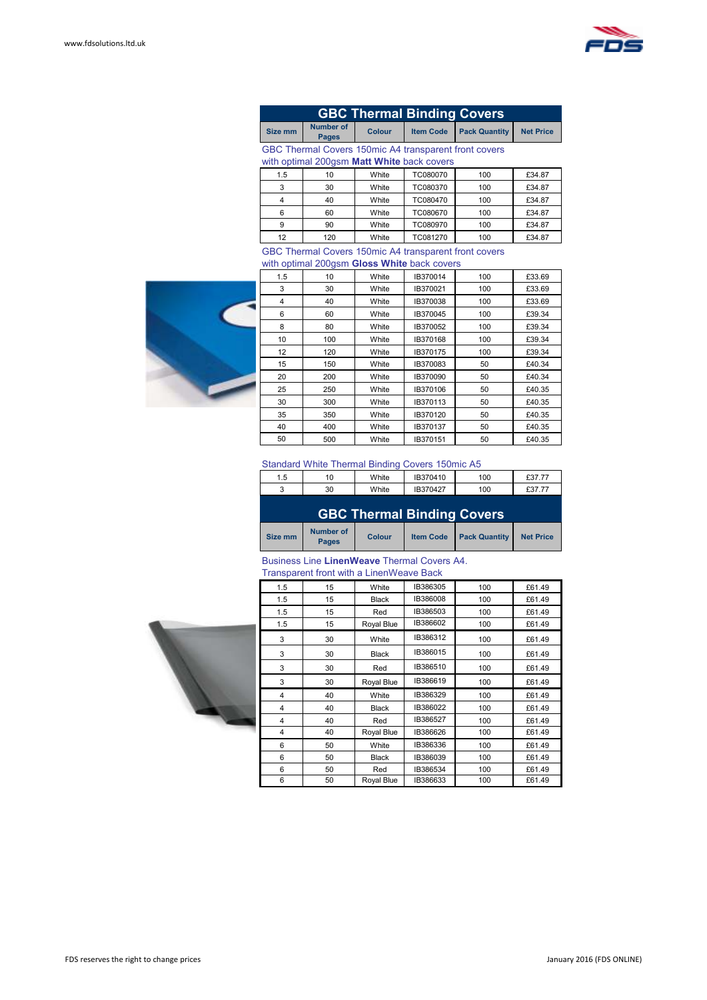

|                                                                                                     | <b>GBC Thermal Binding Covers</b> |               |                  |     |        |  |  |  |  |
|-----------------------------------------------------------------------------------------------------|-----------------------------------|---------------|------------------|-----|--------|--|--|--|--|
| Size mm                                                                                             | <b>Number of</b><br><b>Pages</b>  | <b>Colour</b> | <b>Net Price</b> |     |        |  |  |  |  |
| GBC Thermal Covers 150mic A4 transparent front covers<br>with optimal 200gsm Matt White back covers |                                   |               |                  |     |        |  |  |  |  |
| 1.5                                                                                                 | 10                                | White         | TC080070         | 100 | £34.87 |  |  |  |  |
| 3                                                                                                   | 30                                | White         | TC080370         | 100 | £34.87 |  |  |  |  |
| 4                                                                                                   | 40                                | White         | TC080470         | 100 | £34.87 |  |  |  |  |
| 6                                                                                                   | 60                                | White         | TC080670         | 100 | £34.87 |  |  |  |  |
| 9                                                                                                   | 90                                | White         | TC080970         | 100 | £34.87 |  |  |  |  |
| 12                                                                                                  | 120                               | White         | TC081270         | 100 | £34.87 |  |  |  |  |

#### GBC Thermal Covers 150mic A4 transparent front covers with optimal 200gsm **Gloss White** back covers



|     | with optimal zoogoni <b>oloss winte</b> back covers |       |          |     |        |  |  |  |  |  |
|-----|-----------------------------------------------------|-------|----------|-----|--------|--|--|--|--|--|
| 1.5 | 10                                                  | White | IB370014 | 100 | £33.69 |  |  |  |  |  |
| 3   | 30                                                  | White | IB370021 | 100 | £33.69 |  |  |  |  |  |
| 4   | 40                                                  | White | IB370038 | 100 | £33.69 |  |  |  |  |  |
| 6   | 60                                                  | White | IB370045 | 100 | £39.34 |  |  |  |  |  |
| 8   | 80                                                  | White | IB370052 | 100 | £39.34 |  |  |  |  |  |
| 10  | 100                                                 | White | IB370168 | 100 | £39.34 |  |  |  |  |  |
| 12  | 120                                                 | White | IB370175 | 100 | £39.34 |  |  |  |  |  |
| 15  | 150                                                 | White | IB370083 | 50  | £40.34 |  |  |  |  |  |
| 20  | 200                                                 | White | IB370090 | 50  | £40.34 |  |  |  |  |  |
| 25  | 250                                                 | White | IB370106 | 50  | £40.35 |  |  |  |  |  |
| 30  | 300                                                 | White | IB370113 | 50  | £40.35 |  |  |  |  |  |
| 35  | 350                                                 | White | IB370120 | 50  | £40.35 |  |  |  |  |  |
| 40  | 400                                                 | White | IB370137 | 50  | £40.35 |  |  |  |  |  |
| 50  | 500                                                 | White | IB370151 | 50  | £40.35 |  |  |  |  |  |

#### Standard White Thermal Binding Covers 150mic A5

| 1.5                 | 10 | White | IB370410 | 100 | £37.77 |
|---------------------|----|-------|----------|-----|--------|
| $\overline{ }$<br>ັ | 30 | White | IB370427 | 100 | £37.77 |
|                     |    |       |          |     |        |

|         |                           |               | <b>GBC Thermal Binding Covers</b>   |                  |
|---------|---------------------------|---------------|-------------------------------------|------------------|
| Size mm | Number of<br><b>Pages</b> | <b>Colour</b> | <b>Item Code Pack Quantity</b><br>I | <b>Net Price</b> |

#### Business Line **LinenWeave** Thermal Covers A4. Transparent front with a LinenWeave Back

| 1.5 | 15 | White        | IB386305 | 100 | £61.49 |
|-----|----|--------------|----------|-----|--------|
| 1.5 | 15 | <b>Black</b> | IB386008 | 100 | £61.49 |
| 1.5 | 15 | Red          | IB386503 | 100 | £61.49 |
| 1.5 | 15 | Royal Blue   | IB386602 | 100 | £61.49 |
| 3   | 30 | White        | IB386312 | 100 | £61.49 |
| 3   | 30 | <b>Black</b> | IB386015 | 100 | £61.49 |
| 3   | 30 | Red          | IB386510 | 100 | £61.49 |
| 3   | 30 | Royal Blue   | IB386619 | 100 | £61.49 |
| 4   | 40 | White        | IB386329 | 100 | £61.49 |
| 4   | 40 | <b>Black</b> | IB386022 | 100 | £61.49 |
| 4   | 40 | Red          | IB386527 | 100 | £61.49 |
| 4   | 40 | Royal Blue   | IB386626 | 100 | £61.49 |
| 6   | 50 | White        | IB386336 | 100 | £61.49 |
| 6   | 50 | <b>Black</b> | IB386039 | 100 | £61.49 |
| 6   | 50 | Red          | IB386534 | 100 | £61.49 |
| 6   | 50 | Royal Blue   | IB386633 | 100 | £61.49 |

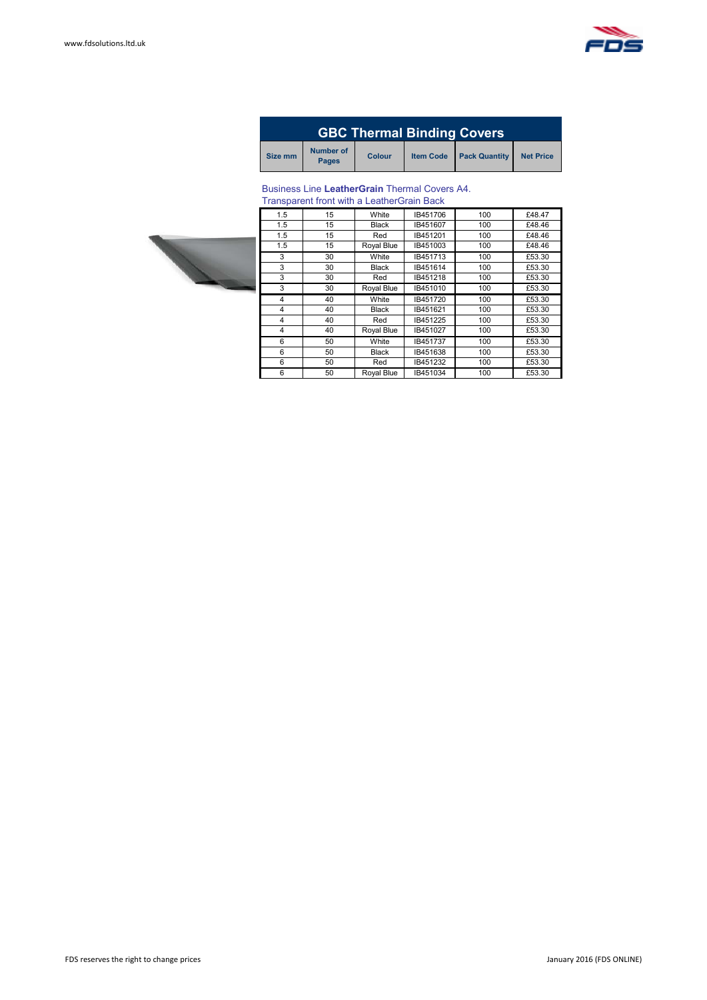

| <b>GBC Thermal Binding Covers</b> |                                  |               |  |                                |                  |  |  |  |
|-----------------------------------|----------------------------------|---------------|--|--------------------------------|------------------|--|--|--|
| Size mm                           | <b>Number of</b><br><b>Pages</b> | <b>Colour</b> |  | <b>Item Code</b> Pack Quantity | <b>Net Price</b> |  |  |  |

#### Business Line **LeatherGrain** Thermal Covers A4.

|     | <b>Transparent front with a LeatherGrain Back</b> |              |          |     |        |
|-----|---------------------------------------------------|--------------|----------|-----|--------|
| 1.5 | 15                                                | White        | IB451706 | 100 | £48.47 |
| 1.5 | 15                                                | <b>Black</b> | IB451607 | 100 | £48.46 |
| 1.5 | 15                                                | Red          | IB451201 | 100 | £48.46 |
| 1.5 | 15                                                | Royal Blue   | IB451003 | 100 | £48.46 |
| 3   | 30                                                | White        | IB451713 | 100 | £53.30 |
| 3   | 30                                                | <b>Black</b> | IB451614 | 100 | £53.30 |
| 3   | 30                                                | Red          | IB451218 | 100 | £53.30 |
| 3   | 30                                                | Royal Blue   | IB451010 | 100 | £53.30 |
| 4   | 40                                                | White        | IB451720 | 100 | £53.30 |
| 4   | 40                                                | <b>Black</b> | IB451621 | 100 | £53.30 |
| 4   | 40                                                | Red          | IB451225 | 100 | £53.30 |
| 4   | 40                                                | Royal Blue   | IB451027 | 100 | £53.30 |
| 6   | 50                                                | White        | IB451737 | 100 | £53.30 |
| 6   | 50                                                | <b>Black</b> | IB451638 | 100 | £53.30 |
| 6   | 50                                                | Red          | IB451232 | 100 | £53.30 |
| 6   | 50                                                | Royal Blue   | IB451034 | 100 | £53.30 |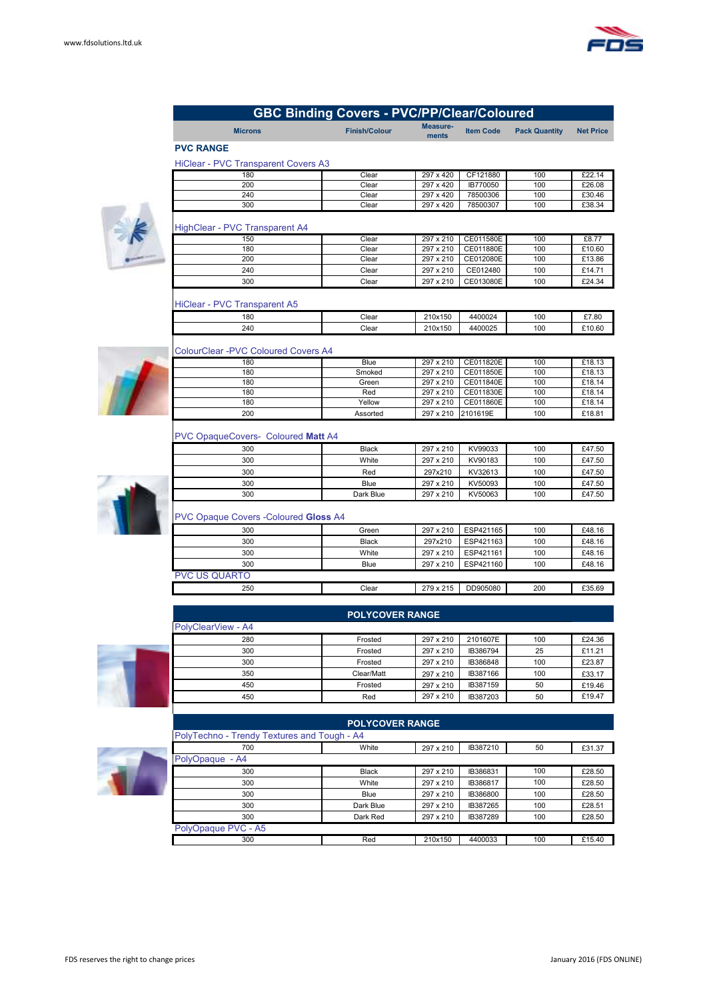

| <b>GBC Binding Covers - PVC/PP/Clear/Coloured</b> |                        |                   |                  |                      |                  |  |
|---------------------------------------------------|------------------------|-------------------|------------------|----------------------|------------------|--|
| <b>Microns</b>                                    | <b>Finish/Colour</b>   | Measure-<br>ments | <b>Item Code</b> | <b>Pack Quantity</b> | <b>Net Price</b> |  |
| <b>PVC RANGE</b>                                  |                        |                   |                  |                      |                  |  |
| <b>HiClear - PVC Transparent Covers A3</b>        |                        |                   |                  |                      |                  |  |
| 180                                               | Clear                  | 297 x 420         | CF121880         | 100                  | £22.14           |  |
| 200                                               | Clear                  | 297 x 420         | IB770050         | 100                  | £26.08           |  |
| 240                                               | Clear                  | 297 x 420         | 78500306         | 100                  | £30.46           |  |
| 300                                               | Clear                  | 297 x 420         | 78500307         | 100                  | £38.34           |  |
|                                                   |                        |                   |                  |                      |                  |  |
| HighClear - PVC Transparent A4                    |                        |                   |                  |                      |                  |  |
| 150                                               | Clear                  | 297 x 210         | CE011580E        | 100                  | £8.77            |  |
| 180                                               | Clear                  | 297 x 210         | CE011880E        | 100                  | £10.60           |  |
| 200                                               | Clear                  | 297 x 210         | CE012080E        | 100                  | £13.86           |  |
| 240                                               | Clear                  | 297 x 210         | CE012480         | 100                  | £14.71           |  |
| 300                                               | Clear                  | 297 x 210         | CE013080E        | 100                  | £24.34           |  |
|                                                   |                        |                   |                  |                      |                  |  |
| HiClear - PVC Transparent A5                      |                        |                   |                  |                      |                  |  |
|                                                   |                        |                   |                  |                      |                  |  |
| 180                                               | Clear                  | 210x150           | 4400024          | 100                  | £7.80            |  |
| 240                                               | Clear                  | 210x150           | 4400025          | 100                  | £10.60           |  |
|                                                   |                        |                   |                  |                      |                  |  |
| <b>ColourClear -PVC Coloured Covers A4</b>        |                        |                   |                  |                      |                  |  |
| 180                                               | <b>Blue</b>            | 297 x 210         | CE011820E        | 100                  | £18.13           |  |
| 180                                               | Smoked                 | 297 x 210         | CE011850E        | 100                  | £18.13           |  |
| 180                                               | Green                  | 297 x 210         | CE011840E        | 100                  | £18.14           |  |
| 180                                               | Red                    | 297 x 210         | CE011830E        | 100                  | £18.14           |  |
| 180                                               | Yellow                 | 297 x 210         | CE011860E        | 100                  | £18.14           |  |
| 200                                               | Assorted               | 297 x 210         | 2101619E         | 100                  | £18.81           |  |
| PVC OpaqueCovers- Coloured Matt A4                |                        |                   |                  |                      |                  |  |
| 300                                               | <b>Black</b>           | 297 x 210         | KV99033          | 100                  | £47.50           |  |
|                                                   |                        |                   |                  |                      |                  |  |
| 300                                               | White                  | 297 x 210         | KV90183          | 100                  | £47.50           |  |
| 300                                               | Red                    | 297x210           | KV32613          | 100                  | £47.50           |  |
| 300                                               | Blue                   | 297 x 210         | KV50093          | 100                  | £47.50           |  |
| 300                                               | Dark Blue              | 297 x 210         | KV50063          | 100                  | £47.50           |  |
|                                                   |                        |                   |                  |                      |                  |  |
| PVC Opaque Covers - Coloured Gloss A4             |                        |                   |                  |                      |                  |  |
| 300                                               | Green                  | 297 x 210         | ESP421165        | 100                  | £48.16           |  |
| 300                                               | <b>Black</b>           | 297x210           | ESP421163        | 100                  | £48.16           |  |
| 300                                               | White                  | 297 x 210         | ESP421161        | 100                  | £48.16           |  |
| 300                                               | Blue                   | 297 x 210         | ESP421160        | 100                  | £48.16           |  |
| <b>PVC US QUARTO</b>                              |                        |                   |                  |                      |                  |  |
| 250                                               | Clear                  | 279 x 215         | DD905080         | 200                  | £35.69           |  |
|                                                   |                        |                   |                  |                      |                  |  |
|                                                   |                        |                   |                  |                      |                  |  |
|                                                   | <b>POLYCOVER RANGE</b> |                   |                  |                      |                  |  |
| PolyClearView - A4                                |                        |                   |                  |                      |                  |  |
| 280                                               | Frosted                | 297 x 210         | 2101607E         | 100                  | £24.36           |  |
| 300                                               | Frosted                | 297 x 210         | IB386794         | 25                   | £11.21           |  |
| 300                                               | Frosted                | 297 x 210         | IB386848         | 100                  | £23.87           |  |
|                                                   |                        |                   |                  |                      |                  |  |





| <b>POLYCOVER RANGE</b>                      |              |           |          |     |        |  |  |
|---------------------------------------------|--------------|-----------|----------|-----|--------|--|--|
| PolyTechno - Trendy Textures and Tough - A4 |              |           |          |     |        |  |  |
| 700                                         | White        | 297 x 210 | IB387210 | 50  | £31.37 |  |  |
| PolyOpaque - A4                             |              |           |          |     |        |  |  |
| 300                                         | <b>Black</b> | 297 x 210 | IB386831 | 100 | £28.50 |  |  |
| 300                                         | White        | 297 x 210 | IB386817 | 100 | £28.50 |  |  |
| 300                                         | Blue         | 297 x 210 | IB386800 | 100 | £28.50 |  |  |
| 300                                         | Dark Blue    | 297 x 210 | IB387265 | 100 | £28.51 |  |  |
| 300                                         | Dark Red     | 297 x 210 | IB387289 | 100 | £28.50 |  |  |
| PolyOpaque PVC - A5                         |              |           |          |     |        |  |  |
| 300                                         | Red          | 210x150   | 4400033  | 100 | £15.40 |  |  |

350 Clear/Matt 297 x 210 IB387166 100 £33.17 450 Frosted 297 x 210 IB387159 50 £19.46 450 Red 297 x 210 IB387203 50 £19.47

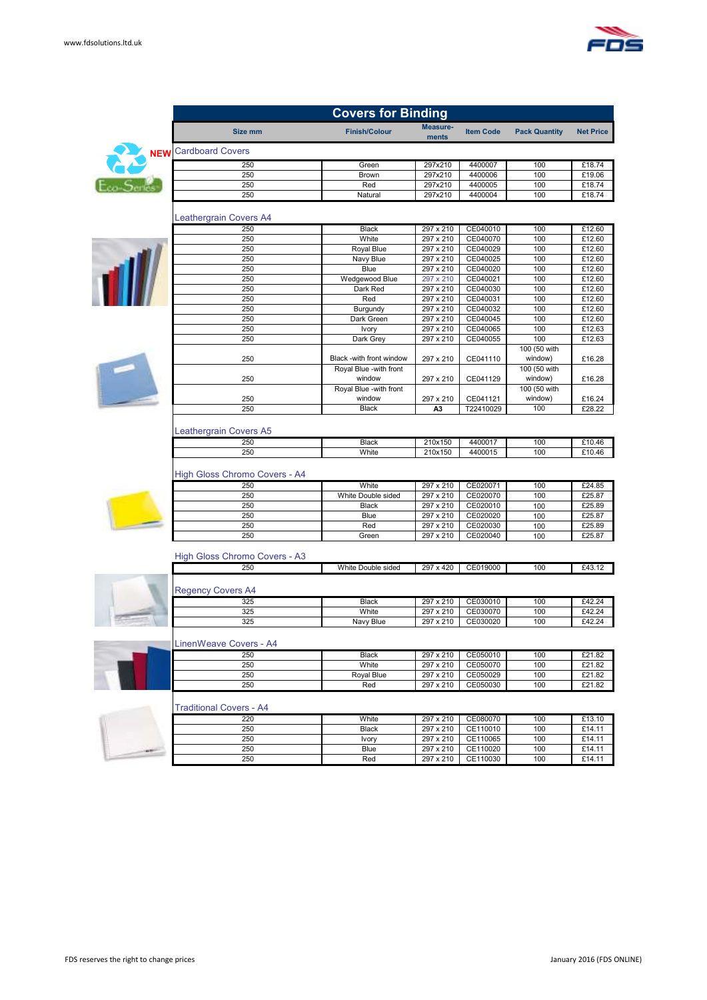

|            | <b>Covers for Binding</b>            |                          |                        |                      |                      |                  |  |
|------------|--------------------------------------|--------------------------|------------------------|----------------------|----------------------|------------------|--|
|            | Size mm                              | <b>Finish/Colour</b>     | Measure-<br>ments      | <b>Item Code</b>     | <b>Pack Quantity</b> | <b>Net Price</b> |  |
| <b>NEW</b> | <b>Cardboard Covers</b>              |                          |                        |                      |                      |                  |  |
|            | 250                                  | Green                    | 297x210                | 4400007              | 100                  | £18.74           |  |
|            | 250                                  | Brown                    | 297x210                | 4400006              | 100                  | £19.06           |  |
|            | 250                                  | Red                      | 297x210                | 4400005              | 100                  | £18.74           |  |
|            | 250                                  | Natural                  | 297x210                | 4400004              | 100                  | £18.74           |  |
|            | Leathergrain Covers A4               |                          |                        |                      |                      |                  |  |
|            | 250                                  | <b>Black</b>             | 297 x 210              | CE040010             | 100                  | £12.60           |  |
|            | 250                                  | White                    | 297 x 210              | CE040070             | 100                  | £12.60           |  |
|            | 250                                  | Royal Blue               | 297 x 210              | CE040029             | 100                  | £12.60           |  |
|            | 250                                  | Navy Blue                | 297 x 210              | CE040025             | 100                  | £12.60           |  |
|            | 250                                  | Blue                     | 297 x 210              | CE040020             | 100                  | £12.60           |  |
|            | 250                                  | Wedgewood Blue           | 297 x 210              | CE040021             | 100                  | £12.60           |  |
|            | 250                                  | Dark Red                 | 297 x 210              | CE040030             | 100                  | £12.60           |  |
|            | 250                                  | Red                      | 297 x 210              | CE040031             | 100                  | £12.60           |  |
|            | 250<br>250                           | Burgundy<br>Dark Green   | 297 x 210<br>297 x 210 | CE040032<br>CE040045 | 100<br>100           | £12.60<br>£12.60 |  |
|            | 250                                  |                          | 297 x 210              | CE040065             | 100                  | £12.63           |  |
|            | 250                                  | Ivory<br>Dark Grey       | 297 x 210              | CE040055             | 100                  | £12.63           |  |
|            |                                      |                          |                        |                      | 100 (50 with         |                  |  |
|            | 250                                  | Black -with front window | 297 x 210              | CE041110             | window)              | £16.28           |  |
|            |                                      | Royal Blue -with front   |                        |                      | 100 (50 with         |                  |  |
|            | 250                                  | window                   | 297 x 210              | CE041129             | window)              | £16.28           |  |
|            |                                      | Royal Blue -with front   |                        |                      | 100 (50 with         |                  |  |
|            | 250                                  | window                   | 297 x 210              | CE041121             | window)              | £16.24           |  |
|            | 250                                  | <b>Black</b>             | A3                     | T22410029            | 100                  | £28.22           |  |
|            | Leathergrain Covers A5<br>250<br>250 | <b>Black</b><br>White    | 210x150<br>210x150     | 4400017<br>4400015   | 100<br>100           | £10.46<br>£10.46 |  |
|            | High Gloss Chromo Covers - A4        |                          |                        |                      |                      |                  |  |
|            | 250                                  | White                    | 297 x 210              | CE020071             | 100                  | £24.85           |  |
|            | 250                                  | White Double sided       | 297 x 210              | CE020070             | 100                  | £25.87           |  |
|            | 250                                  | <b>Black</b>             | 297 x 210              | CE020010             | 100                  | £25.89           |  |
|            | 250                                  | Blue                     | 297 x 210              | CE020020             | 100                  | £25.87           |  |
|            | 250                                  | Red                      | 297 x 210              | CE020030             | 100                  | £25.89           |  |
|            | 250                                  | Green                    | 297 x 210              | CE020040             | 100                  | £25.87           |  |
|            | High Gloss Chromo Covers - A3        |                          |                        |                      |                      |                  |  |
|            | 250                                  | White Double sided       | 297 x 420              | CE019000             | 100                  | £43.12           |  |
|            | <b>Regency Covers A4</b>             |                          |                        |                      |                      |                  |  |
|            | 325                                  | <b>Black</b>             | 297 x 210              | CE030010             | 100                  | £42.24           |  |
|            | 325                                  | White                    | 297 x 210              | CE030070             | 100                  | £42.24           |  |
|            | 325                                  | Navy Blue                | 297 x 210              | CE030020             | 100                  | £42.24           |  |
|            | LinenWeave Covers - A4               |                          |                        |                      |                      |                  |  |
|            | 250                                  | <b>Black</b>             | 297 x 210              | CE050010             | 100                  | £21.82           |  |
|            | 250                                  | White                    | 297 x 210              | CE050070             | 100                  | £21.82           |  |
|            | 250                                  | Royal Blue               | 297 x 210              | CE050029             | 100                  | £21.82           |  |
|            | 250                                  | Red                      | 297 x 210              | CE050030             | 100                  | £21.82           |  |
|            | <b>Traditional Covers - A4</b>       |                          |                        |                      |                      |                  |  |
|            | 220                                  | White                    | 297 x 210              | CE080070             | 100                  | £13.10           |  |
|            | 250                                  | <b>Black</b>             | 297 x 210              | CE110010             | 100                  | £14.11           |  |
|            | 250                                  | Ivory                    | 297 x 210              | CE110065             | 100                  | £14.11           |  |
|            | 250                                  | Blue                     | 297 x 210              | CE110020             | 100                  | £14.11           |  |
|            | 250                                  | Red                      | 297 x 210              | CE110030             | 100                  | £14.11           |  |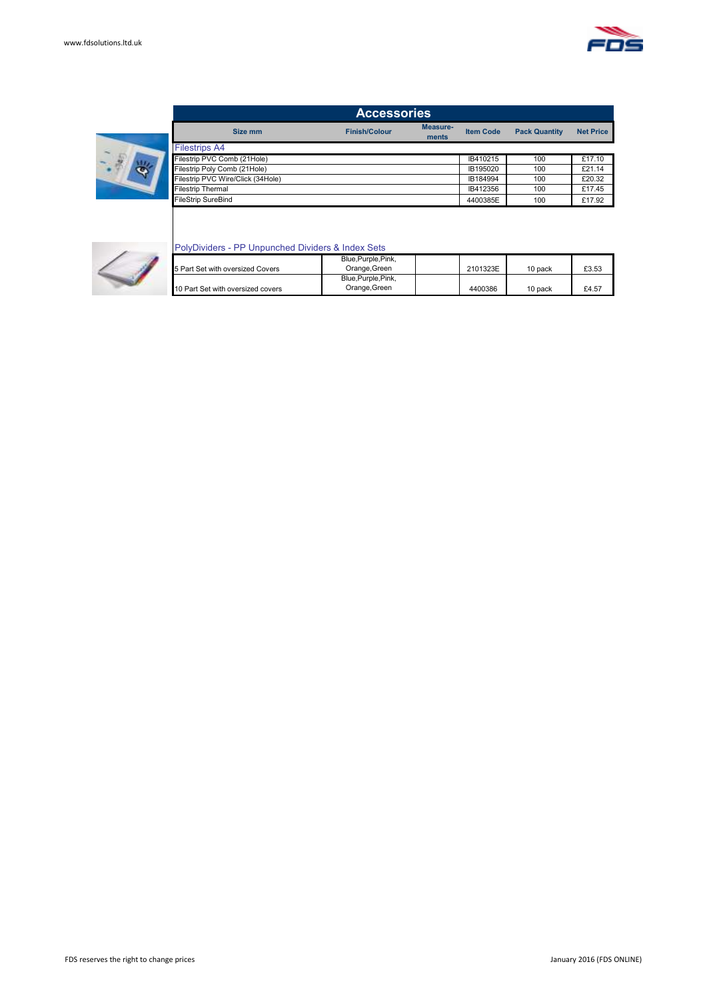

|                                   | <b>Accessories</b>   |                   |                  |                      |                  |
|-----------------------------------|----------------------|-------------------|------------------|----------------------|------------------|
| Size mm                           | <b>Finish/Colour</b> | Measure-<br>ments | <b>Item Code</b> | <b>Pack Quantity</b> | <b>Net Price</b> |
| <b>Filestrips A4</b>              |                      |                   |                  |                      |                  |
| Filestrip PVC Comb (21Hole)       |                      |                   | IB410215         | 100                  | £17.10           |
| Filestrip Poly Comb (21Hole)      |                      |                   | IB195020         | 100                  | £21.14           |
| Filestrip PVC Wire/Click (34Hole) |                      |                   | IB184994         | 100                  | £20.32           |
| <b>Filestrip Thermal</b>          |                      |                   | IB412356         | 100                  | £17.45           |
| <b>FileStrip SureBind</b>         |                      |                   | 4400385E         | 100                  | £17.92           |



#### PolyDividers - PP Unpunched Dividers & Index Sets

|                                   | Blue, Purple, Pink, |          |         |       |
|-----------------------------------|---------------------|----------|---------|-------|
| 5 Part Set with oversized Covers  | Orange, Green       | 2101323E | 10 pack | £3.53 |
|                                   | Blue, Purple, Pink, |          |         |       |
| 10 Part Set with oversized covers | Orange, Green       | 4400386  | 10 pack | £4.57 |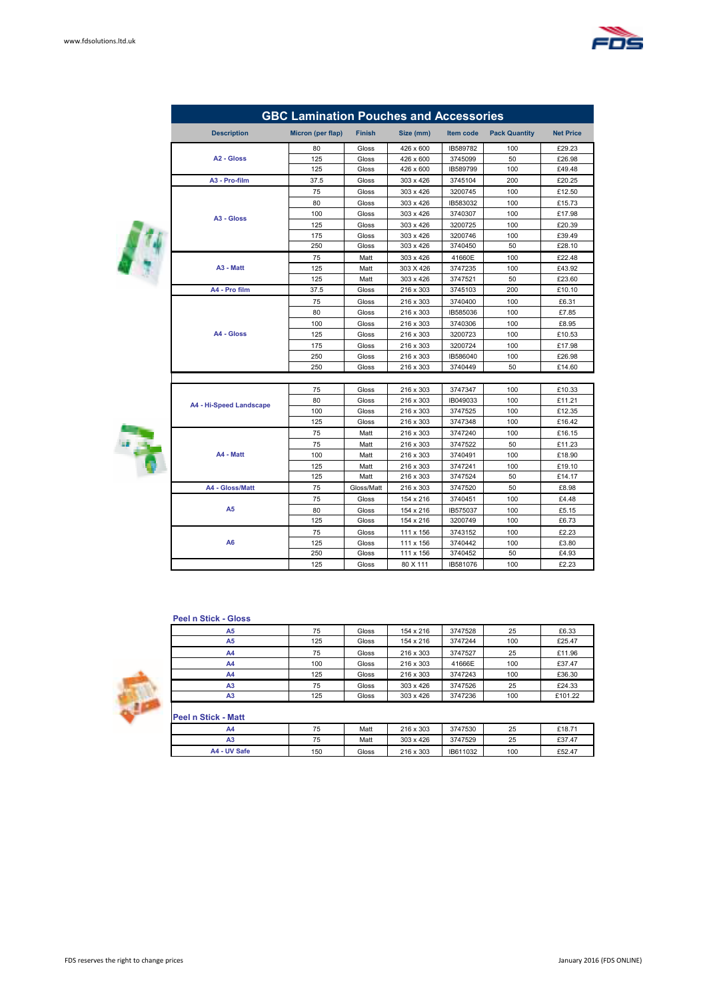

|    |                         | <b>GBC Lamination Pouches and Accessories</b> |               |           |           |                      |                  |
|----|-------------------------|-----------------------------------------------|---------------|-----------|-----------|----------------------|------------------|
|    | <b>Description</b>      | Micron (per flap)                             | <b>Finish</b> | Size (mm) | Item code | <b>Pack Quantity</b> | <b>Net Price</b> |
|    |                         | 80                                            | Gloss         | 426 x 600 | IB589782  | 100                  | £29.23           |
|    | A <sub>2</sub> - Gloss  | 125                                           | Gloss         | 426 x 600 | 3745099   | 50                   | £26.98           |
|    |                         | 125                                           | Gloss         | 426 x 600 | IB589799  | 100                  | £49.48           |
|    | A3 - Pro-film           | 37.5                                          | Gloss         | 303 x 426 | 3745104   | 200                  | £20.25           |
|    |                         | 75                                            | Gloss         | 303 x 426 | 3200745   | 100                  | £12.50           |
|    |                         | 80                                            | Gloss         | 303 x 426 | IB583032  | 100                  | £15.73           |
|    | A <sub>3</sub> - Gloss  | 100                                           | Gloss         | 303 x 426 | 3740307   | 100                  | £17.98           |
|    |                         | 125                                           | Gloss         | 303 x 426 | 3200725   | 100                  | £20.39           |
|    |                         | 175                                           | Gloss         | 303 x 426 | 3200746   | 100                  | £39.49           |
|    |                         | 250                                           | Gloss         | 303 x 426 | 3740450   | 50                   | £28.10           |
| I, |                         | 75                                            | Matt          | 303 x 426 | 41660E    | 100                  | £22.48           |
|    | A <sub>3</sub> - Matt   | 125                                           | Matt          | 303 X 426 | 3747235   | 100                  | £43.92           |
|    |                         | 125                                           | Matt          | 303 x 426 | 3747521   | 50                   | £23.60           |
|    | A4 - Pro film           | 37.5                                          | Gloss         | 216 x 303 | 3745103   | 200                  | £10.10           |
|    |                         | 75                                            | Gloss         | 216 x 303 | 3740400   | 100                  | £6.31            |
|    |                         | 80                                            | Gloss         | 216 x 303 | IB585036  | 100                  | £7.85            |
|    |                         | 100                                           | Gloss         | 216 x 303 | 3740306   | 100                  | £8.95            |
|    | A4 - Gloss              | 125                                           | Gloss         | 216 x 303 | 3200723   | 100                  | £10.53           |
|    |                         | 175                                           | Gloss         | 216 x 303 | 3200724   | 100                  | £17.98           |
|    |                         | 250                                           | Gloss         | 216 x 303 | IB586040  | 100                  | £26.98           |
|    |                         | 250                                           | Gloss         | 216 x 303 | 3740449   | 50                   | £14.60           |
|    |                         |                                               |               |           |           |                      |                  |
|    |                         | 75                                            | Gloss         | 216 x 303 | 3747347   | 100                  | £10.33           |
|    | A4 - Hi-Speed Landscape | 80                                            | Gloss         | 216 x 303 | IB049033  | 100                  | £11.21           |
|    |                         | 100                                           | Gloss         | 216 x 303 | 3747525   | 100                  | £12.35           |
|    |                         | 125                                           | Gloss         | 216 x 303 | 3747348   | 100                  | £16.42           |
|    |                         | 75                                            | Matt          | 216 x 303 | 3747240   | 100                  | £16.15           |
|    |                         | 75                                            | Matt          | 216 x 303 | 3747522   | 50                   | £11.23           |
|    | A4 - Matt               | 100                                           | Matt          | 216 x 303 | 3740491   | 100                  | £18.90           |
|    |                         | 125                                           | Matt          | 216 x 303 | 3747241   | 100                  | £19.10           |
|    |                         | 125                                           | Matt          | 216 x 303 | 3747524   | 50                   | £14.17           |
|    | A4 - Gloss/Matt         | 75                                            | Gloss/Matt    | 216 x 303 | 3747520   | 50                   | £8.98            |
|    |                         | 75                                            | Gloss         | 154 x 216 | 3740451   | 100                  | £4.48            |
|    | A <sub>5</sub>          | 80                                            | Gloss         | 154 x 216 | IB575037  | 100                  | £5.15            |
|    |                         | 125                                           | Gloss         | 154 x 216 | 3200749   | 100                  | £6.73            |
|    |                         | 75                                            | Gloss         | 111 x 156 | 3743152   | 100                  | £2.23            |
|    | A <sub>6</sub>          | 125                                           | Gloss         | 111 x 156 | 3740442   | 100                  | £3.80            |
|    |                         | 250                                           | Gloss         | 111 x 156 | 3740452   | 50                   | £4.93            |
|    |                         | 125                                           | Gloss         | 80 X 111  | IB581076  | 100                  | £2.23            |

#### **Peel n Stick - Gloss**

| A <sub>5</sub> | 75  | Gloss | 154 x 216 | 3747528 | 25  | £6.33   |
|----------------|-----|-------|-----------|---------|-----|---------|
| A <sub>5</sub> | 125 | Gloss | 154 x 216 | 3747244 | 100 | £25.47  |
| A4             | 75  | Gloss | 216 x 303 | 3747527 | 25  | £11.96  |
| A4             | 100 | Gloss | 216 x 303 | 41666E  | 100 | £37.47  |
| A <sub>4</sub> | 125 | Gloss | 216 x 303 | 3747243 | 100 | £36.30  |
| A <sub>3</sub> | 75  | Gloss | 303 x 426 | 3747526 | 25  | £24.33  |
| A <sub>3</sub> | 125 | Gloss | 303 x 426 | 3747236 | 100 | £101.22 |

| II GGI II OUGN - MAU |     |       |           |          |     |        |
|----------------------|-----|-------|-----------|----------|-----|--------|
| A4                   | 75  | Matt  | 216 x 303 | 3747530  | 25  | £18.71 |
| A3                   | 75  | Matt  | 303 x 426 | 3747529  | 25  | £37.47 |
| A4 - UV Safe         | 150 | Gloss | 216 x 303 | IB611032 | 100 | £52.47 |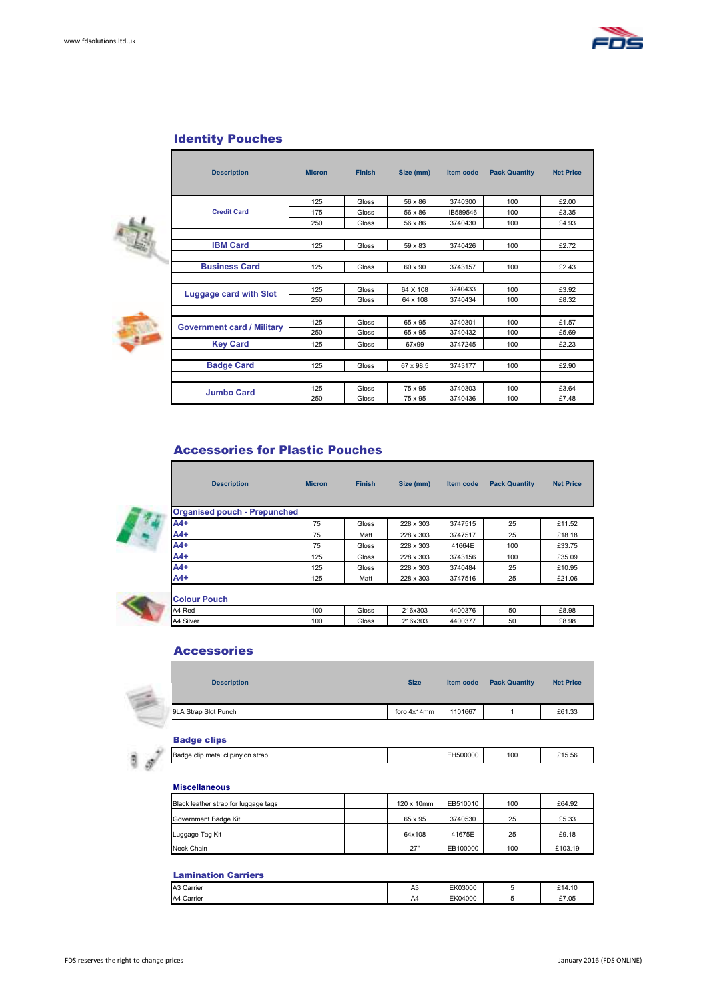

#### Identity Pouches

Г

| i  | n |
|----|---|
|    |   |
|    |   |
| ۰. |   |

| <b>Description</b>                | <b>Micron</b> | <b>Finish</b> | Size (mm) | Item code | <b>Pack Quantity</b> | <b>Net Price</b> |
|-----------------------------------|---------------|---------------|-----------|-----------|----------------------|------------------|
|                                   |               |               |           |           |                      |                  |
|                                   | 125           | Gloss         | 56 x 86   | 3740300   | 100                  | £2.00            |
| <b>Credit Card</b>                | 175           | Gloss         | 56 x 86   | IB589546  | 100                  | £3.35            |
|                                   | 250           | Gloss         | 56 x 86   | 3740430   | 100                  | £4.93            |
| <b>IBM Card</b>                   |               |               |           |           |                      |                  |
|                                   | 125           | Gloss         | 59 x 83   | 3740426   | 100                  | £2.72            |
| <b>Business Card</b>              | 125           | Gloss         | 60 x 90   | 3743157   | 100                  | £2.43            |
|                                   |               |               |           |           |                      |                  |
| Luggage card with Slot            | 125           | Gloss         | 64 X 108  | 3740433   | 100                  | £3.92            |
|                                   | 250           | Gloss         | 64 x 108  | 3740434   | 100                  | £8.32            |
|                                   |               |               |           |           |                      |                  |
| <b>Government card / Military</b> | 125           | Gloss         | 65 x 95   | 3740301   | 100                  | £1.57            |
|                                   | 250           | Gloss         | 65 x 95   | 3740432   | 100                  | £5.69            |
| <b>Key Card</b>                   | 125           | Gloss         | 67x99     | 3747245   | 100                  | £2.23            |
|                                   |               |               |           |           |                      |                  |
| <b>Badge Card</b>                 | 125           | Gloss         | 67 x 98.5 | 3743177   | 100                  | £2.90            |
|                                   |               |               |           |           |                      |                  |
| <b>Jumbo Card</b>                 | 125           | Gloss         | 75 x 95   | 3740303   | 100                  | £3.64            |
|                                   | 250           | Gloss         | 75 x 95   | 3740436   | 100                  | £7.48            |

#### Accessories for Plastic Pouches

| <b>Organised pouch - Prepunched</b> |     |       |           |         |     |        |
|-------------------------------------|-----|-------|-----------|---------|-----|--------|
| $A4+$                               | 75  | Gloss | 228 x 303 | 3747515 | 25  | £11.52 |
| $A4+$                               | 75  | Matt  | 228 x 303 | 3747517 | 25  | £18.18 |
| $A4+$                               | 75  | Gloss | 228 x 303 | 41664E  | 100 | £33.75 |
| $A4+$                               | 125 | Gloss | 228 x 303 | 3743156 | 100 | £35.09 |
| $A4+$                               | 125 | Gloss | 228 x 303 | 3740484 | 25  | £10.95 |
| $A4+$                               | 125 | Matt  | 228 x 303 | 3747516 | 25  | £21.06 |

**Description Micron Finish Size (mm) Item code Pack Quantity Net Price**

| <b>NOVIGILI VUCIL</b> |     |       |         |         |    |       |
|-----------------------|-----|-------|---------|---------|----|-------|
| A4 Red                | 100 | Gloss | 216x303 | 4400376 | 50 | £8.98 |
| Silver<br>IA4         | 100 | Gloss | 216x303 | 440037  | 50 | £8.98 |
|                       |     |       |         |         |    |       |

#### Accessories



| <b>Description</b> | <b>Size</b> | Item code | <b>Pack Quantity</b> | <b>Net Price</b> |
|--------------------|-------------|-----------|----------------------|------------------|
| A Strap Slot Punch | foro 4x14mm | 1101667   |                      | £61.33           |

#### Badge clips

| Badge<br>i clip/nylon<br>strac<br>metal<br>clin | EH500000 | 100 | CAF FO<br>15.5E |
|-------------------------------------------------|----------|-----|-----------------|
|                                                 |          |     |                 |

#### **Miscellaneous**

| Black leather strap for luggage tags | 120 x 10mm | EB510010 | 100 | £64.92  |
|--------------------------------------|------------|----------|-----|---------|
| Government Badge Kit                 | 65 x 95    | 3740530  | 25  | £5.33   |
| Luggage Tag Kit                      | 64x108     | 41675E   | 25  | £9.18   |
| Neck Chain                           | 27"        | EB100000 | 100 | £103.19 |

#### Lamination Carriers

| A3 Carrier | A <sub>3</sub> | EK03000 | £14.10 |
|------------|----------------|---------|--------|
| A4 Carrier | A4             | EK04000 | £7.05  |
|            |                |         |        |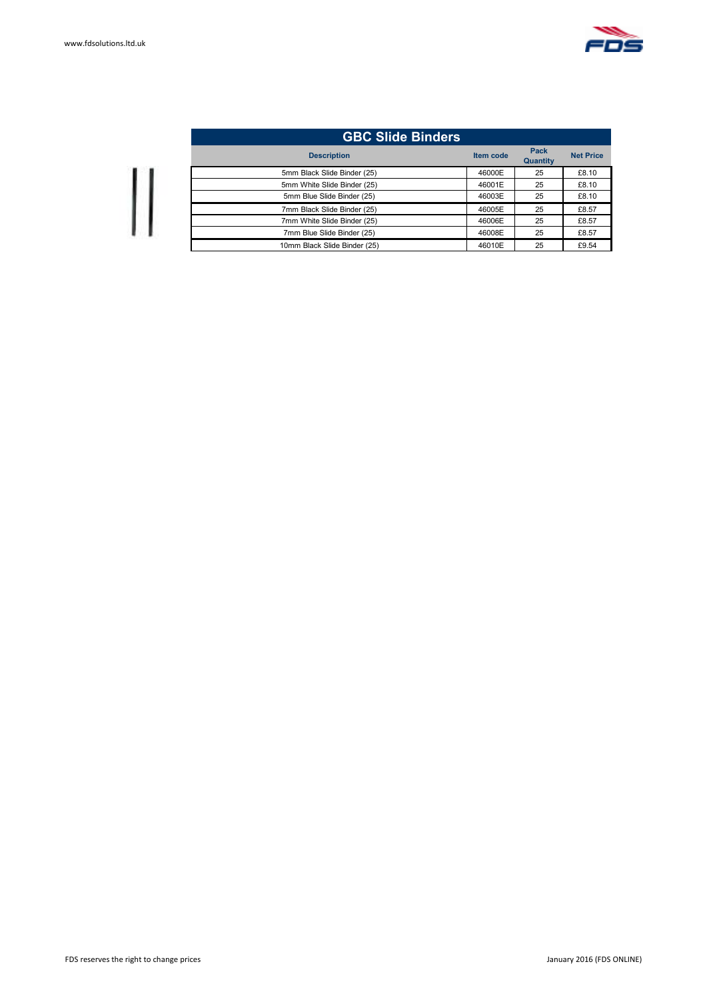

| <b>GBC Slide Binders</b>     |           |                         |                  |
|------------------------------|-----------|-------------------------|------------------|
| <b>Description</b>           | Item code | Pack<br><b>Quantity</b> | <b>Net Price</b> |
| 5mm Black Slide Binder (25)  | 46000E    | 25                      | £8.10            |
| 5mm White Slide Binder (25)  | 46001E    | 25                      | £8.10            |
| 5mm Blue Slide Binder (25)   | 46003E    | 25                      | £8.10            |
| 7mm Black Slide Binder (25)  | 46005E    | 25                      | £8.57            |
| 7mm White Slide Binder (25)  | 46006E    | 25                      | £8.57            |
| 7mm Blue Slide Binder (25)   | 46008E    | 25                      | £8.57            |
| 10mm Black Slide Binder (25) | 46010E    | 25                      | £9.54            |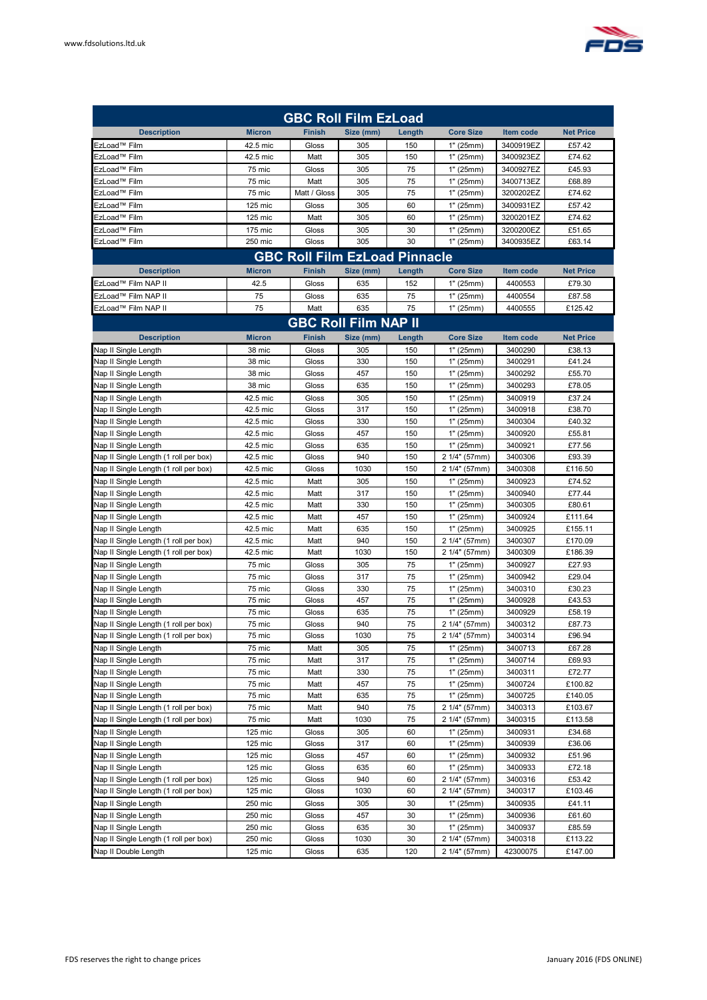

| <b>GBC Roll Film EzLoad</b>           |               |                             |           |        |                  |                  |                  |  |  |
|---------------------------------------|---------------|-----------------------------|-----------|--------|------------------|------------------|------------------|--|--|
| <b>Description</b>                    | <b>Micron</b> | <b>Finish</b>               | Size (mm) | Length | <b>Core Size</b> | Item code        | <b>Net Price</b> |  |  |
| EzLoad™ Film                          | 42.5 mic      | Gloss                       | 305       | 150    | 1" (25mm)        | 3400919EZ        | £57.42           |  |  |
| EzLoad™ Film                          | 42.5 mic      | Matt                        | 305       | 150    | 1" (25mm)        | 3400923EZ        | £74.62           |  |  |
| EzLoad™ Film                          | 75 mic        | Gloss                       | 305       | 75     | 1" (25mm)        | 3400927EZ        | £45.93           |  |  |
| EzLoad™ Film                          | 75 mic        | Matt                        | 305       | 75     | 1" (25mm)        | 3400713EZ        | £68.89           |  |  |
| EzLoad™ Film                          | 75 mic        | Matt / Gloss                | 305       | 75     | 1" (25mm)        | 3200202EZ        | £74.62           |  |  |
| EzLoad™ Film                          | 125 mic       | Gloss                       | 305       | 60     | 1" (25mm)        | 3400931EZ        | £57.42           |  |  |
| EzLoad™ Film                          | 125 mic       | Matt                        | 305       | 60     | 1" (25mm)        | 3200201EZ        | £74.62           |  |  |
| EzLoad™ Film                          | 175 mic       | Gloss                       | 305       | 30     | 1" (25mm)        | 3200200EZ        | £51.65           |  |  |
| EzLoad™ Film                          | 250 mic       | Gloss                       | 305       | 30     | 1" (25mm)        | 3400935EZ        | £63.14           |  |  |
| <b>GBC Roll Film EzLoad Pinnacle</b>  |               |                             |           |        |                  |                  |                  |  |  |
| <b>Description</b>                    | <b>Micron</b> | <b>Finish</b>               | Size (mm) | Length | <b>Core Size</b> | <b>Item code</b> | <b>Net Price</b> |  |  |
| EzLoad™ Film NAP II                   | 42.5          | Gloss                       | 635       | 152    | 1" (25mm)        | 4400553          | £79.30           |  |  |
| EzLoad™ Film NAP II                   | 75            | Gloss                       | 635       | 75     | 1" (25mm)        | 4400554          | £87.58           |  |  |
| EzLoad™ Film NAP II                   | 75            | Matt                        | 635       | 75     | 1" (25mm)        | 4400555          | £125.42          |  |  |
|                                       |               | <b>GBC Roll Film NAP II</b> |           |        |                  |                  |                  |  |  |
| <b>Description</b>                    | <b>Micron</b> | <b>Finish</b>               | Size (mm) | Length | <b>Core Size</b> | Item code        | <b>Net Price</b> |  |  |
| Nap II Single Length                  | 38 mic        | Gloss                       | 305       | 150    | 1" (25mm)        | 3400290          | £38.13           |  |  |
| Nap II Single Length                  | 38 mic        | Gloss                       | 330       | 150    | 1" (25mm)        | 3400291          | £41.24           |  |  |
| Nap II Single Length                  | 38 mic        | Gloss                       | 457       | 150    | 1" (25mm)        | 3400292          | £55.70           |  |  |
| Nap II Single Length                  | 38 mic        | Gloss                       | 635       | 150    | 1" (25mm)        | 3400293          | £78.05           |  |  |
| Nap II Single Length                  | 42.5 mic      | Gloss                       | 305       | 150    | 1" (25mm)        | 3400919          | £37.24           |  |  |
| Nap II Single Length                  | 42.5 mic      | Gloss                       | 317       | 150    | 1" (25mm)        | 3400918          | £38.70           |  |  |
| Nap II Single Length                  | 42.5 mic      | Gloss                       | 330       | 150    | 1" (25mm)        | 3400304          | £40.32           |  |  |
| Nap II Single Length                  | 42.5 mic      | Gloss                       | 457       | 150    | 1" (25mm)        | 3400920          | £55.81           |  |  |
| Nap II Single Length                  | 42.5 mic      | Gloss                       | 635       | 150    | 1" (25mm)        | 3400921          | £77.56           |  |  |
| Nap II Single Length (1 roll per box) | 42.5 mic      | Gloss                       | 940       | 150    | 2 1/4" (57mm)    | 3400306          | £93.39           |  |  |
| Nap II Single Length (1 roll per box) | 42.5 mic      | Gloss                       | 1030      | 150    | 2 1/4" (57mm)    | 3400308          | £116.50          |  |  |
| Nap II Single Length                  | 42.5 mic      | Matt                        | 305       | 150    | 1" (25mm)        | 3400923          | £74.52           |  |  |
| Nap II Single Length                  | 42.5 mic      | Matt                        | 317       | 150    | 1" (25mm)        | 3400940          | £77.44           |  |  |
| Nap II Single Length                  | 42.5 mic      | Matt                        | 330       | 150    | 1" (25mm)        | 3400305          | £80.61           |  |  |
| Nap II Single Length                  | 42.5 mic      | Matt                        | 457       | 150    | 1" (25mm)        | 3400924          | £111.64          |  |  |
| Nap II Single Length                  | 42.5 mic      | Matt                        | 635       | 150    | 1" (25mm)        | 3400925          | £155.11          |  |  |
| Nap II Single Length (1 roll per box) | 42.5 mic      | Matt                        | 940       | 150    | 2 1/4" (57mm)    | 3400307          | £170.09          |  |  |
| Nap II Single Length (1 roll per box) | 42.5 mic      | Matt                        | 1030      | 150    | 2 1/4" (57mm)    | 3400309          | £186.39          |  |  |
| Nap II Single Length                  | 75 mic        | Gloss                       | 305       | 75     | 1" (25mm)        | 3400927          | £27.93           |  |  |
| Nap II Single Length                  | 75 mic        | Gloss                       | 317       | 75     | 1" (25mm)        | 3400942          | £29.04           |  |  |
| Nap II Single Length                  | 75 mic        | Gloss                       | 330       | 75     | 1" (25mm)        | 3400310          | £30.23           |  |  |
| Nap II Single Length                  | 75 mic        | Gloss                       | 457       | 75     | 1" (25mm)        | 3400928          | £43.53           |  |  |
| Nap II Single Length                  | 75 mic        | Gloss                       | 635       | 75     | 1" (25mm)        | 3400929          | £58.19           |  |  |
| Nap II Single Length (1 roll per box) | 75 mic        | Gloss                       | 940       | 75     | 2 1/4" (57mm)    | 3400312          | £87.73           |  |  |
| Nap II Single Length (1 roll per box) | 75 mic        | Gloss                       | 1030      | 75     | 2 1/4" (57mm)    | 3400314          | £96.94           |  |  |
| Nap II Single Length                  | 75 mic        | Matt                        | 305       | 75     | 1" (25mm)        | 3400713          | £67.28           |  |  |
| Nap II Single Length                  | 75 mic        | Matt                        | 317       | 75     | 1" (25mm)        | 3400714          | £69.93           |  |  |
| Nap II Single Length                  | 75 mic        | Matt                        | 330       | 75     | 1" (25mm)        | 3400311          | £72.77           |  |  |
| Nap II Single Length                  | 75 mic        | Matt                        | 457       | 75     | 1" (25mm)        | 3400724          | £100.82          |  |  |
| Nap II Single Length                  | 75 mic        | Matt                        | 635       | 75     | 1" (25mm)        | 3400725          | £140.05          |  |  |
| Nap II Single Length (1 roll per box) | 75 mic        | Matt                        | 940       | 75     | 2 1/4" (57mm)    | 3400313          | £103.67          |  |  |
| Nap II Single Length (1 roll per box) | 75 mic        | Matt                        | 1030      | 75     | 2 1/4" (57mm)    | 3400315          | £113.58          |  |  |
| Nap II Single Length                  | 125 mic       | Gloss                       | 305       | 60     | 1" (25mm)        | 3400931          | £34.68           |  |  |
| Nap II Single Length                  | 125 mic       | Gloss                       | 317       | 60     | 1" (25mm)        | 3400939          | £36.06           |  |  |
| Nap II Single Length                  | 125 mic       | Gloss                       | 457       | 60     | 1" (25mm)        | 3400932          | £51.96           |  |  |
| Nap II Single Length                  | 125 mic       | Gloss                       | 635       | 60     | 1" (25mm)        | 3400933          | £72.18           |  |  |
| Nap II Single Length (1 roll per box) | 125 mic       | Gloss                       | 940       | 60     | 2 1/4" (57mm)    | 3400316          | £53.42           |  |  |
| Nap II Single Length (1 roll per box) | 125 mic       | Gloss                       | 1030      | 60     | 2 1/4" (57mm)    | 3400317          | £103.46          |  |  |
| Nap II Single Length                  | 250 mic       | Gloss                       | 305       | 30     | 1" (25mm)        | 3400935          | £41.11           |  |  |
| Nap II Single Length                  | 250 mic       | Gloss                       | 457       | 30     | 1" (25mm)        | 3400936          | £61.60           |  |  |
| Nap II Single Length                  | 250 mic       | Gloss                       | 635       | 30     | 1" (25mm)        | 3400937          | £85.59           |  |  |
| Nap II Single Length (1 roll per box) | 250 mic       | Gloss                       | 1030      | 30     | 2 1/4" (57mm)    | 3400318          | £113.22          |  |  |
| Nap II Double Length                  | 125 mic       | Gloss                       | 635       | 120    | 2 1/4" (57mm)    | 42300075         | £147.00          |  |  |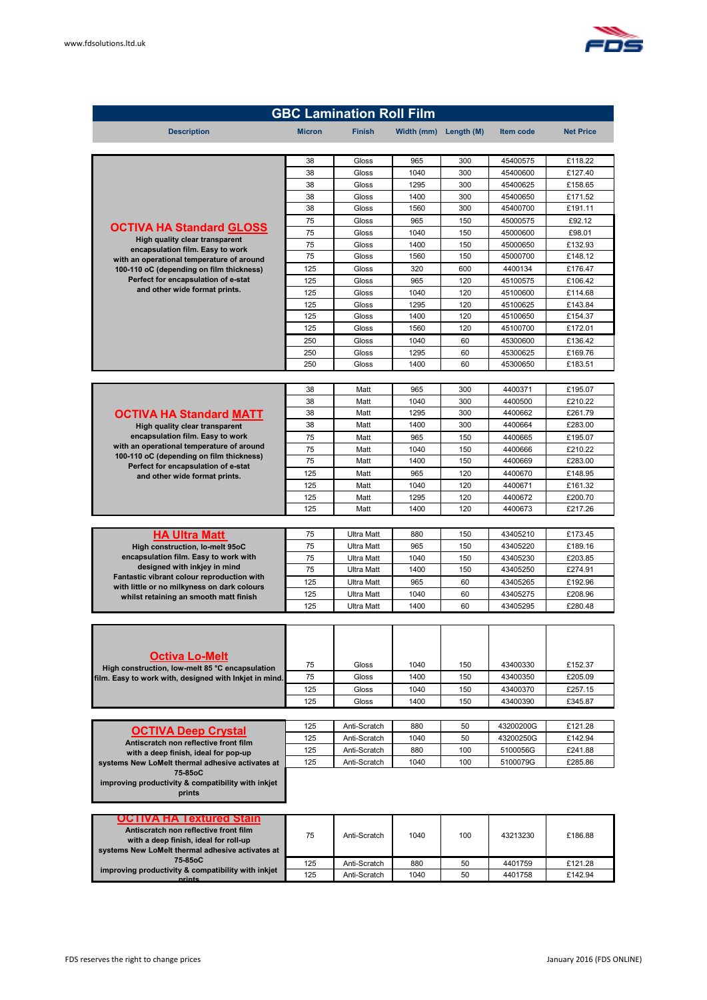

| <b>GBC Lamination Roll Film</b>                                                                           |               |                                        |              |            |                      |                    |  |
|-----------------------------------------------------------------------------------------------------------|---------------|----------------------------------------|--------------|------------|----------------------|--------------------|--|
| <b>Description</b>                                                                                        | <b>Micron</b> | <b>Finish</b>                          | Width (mm)   | Length (M) | Item code            | <b>Net Price</b>   |  |
|                                                                                                           |               |                                        |              |            |                      |                    |  |
|                                                                                                           | 38            | Gloss                                  | 965          | 300        | 45400575             | £118.22            |  |
|                                                                                                           | 38            | Gloss                                  | 1040         | 300        | 45400600             | £127.40            |  |
|                                                                                                           | 38<br>38      | Gloss<br>Gloss                         | 1295<br>1400 | 300<br>300 | 45400625<br>45400650 | £158.65<br>£171.52 |  |
|                                                                                                           | 38            | Gloss                                  | 1560         | 300        | 45400700             | £191.11            |  |
|                                                                                                           | 75            | Gloss                                  | 965          | 150        | 45000575             | £92.12             |  |
| <b>OCTIVA HA Standard GLOSS</b><br>High quality clear transparent                                         | 75            | Gloss                                  | 1040         | 150        | 45000600             | £98.01             |  |
| encapsulation film. Easy to work                                                                          | 75            | Gloss                                  | 1400         | 150        | 45000650             | £132.93            |  |
| with an operational temperature of around                                                                 | 75            | Gloss                                  | 1560         | 150        | 45000700             | £148.12            |  |
| 100-110 oC (depending on film thickness)<br>Perfect for encapsulation of e-stat                           | 125<br>125    | Gloss<br>Gloss                         | 320<br>965   | 600<br>120 | 4400134<br>45100575  | £176.47<br>£106.42 |  |
| and other wide format prints.                                                                             | 125           | Gloss                                  | 1040         | 120        | 45100600             | £114.68            |  |
|                                                                                                           | 125           | Gloss                                  | 1295         | 120        | 45100625             | £143.84            |  |
|                                                                                                           | 125           | Gloss                                  | 1400         | 120        | 45100650             | £154.37            |  |
|                                                                                                           | 125           | Gloss                                  | 1560         | 120        | 45100700             | £172.01            |  |
|                                                                                                           | 250<br>250    | Gloss<br>Gloss                         | 1040<br>1295 | 60<br>60   | 45300600<br>45300625 | £136.42<br>£169.76 |  |
|                                                                                                           | 250           | Gloss                                  | 1400         | 60         | 45300650             | £183.51            |  |
|                                                                                                           |               |                                        |              |            |                      |                    |  |
|                                                                                                           | 38            | Matt                                   | 965          | 300        | 4400371              | £195.07            |  |
|                                                                                                           | 38            | Matt                                   | 1040         | 300        | 4400500              | £210.22            |  |
| <b>OCTIVA HA Standard MATT</b>                                                                            | 38            | Matt                                   | 1295         | 300        | 4400662              | £261.79            |  |
| High quality clear transparent<br>encapsulation film. Easy to work                                        | 38            | Matt                                   | 1400         | 300        | 4400664              | £283.00            |  |
| with an operational temperature of around                                                                 | 75<br>75      | Matt<br>Matt                           | 965<br>1040  | 150<br>150 | 4400665<br>4400666   | £195.07<br>£210.22 |  |
| 100-110 oC (depending on film thickness)                                                                  | 75            | Matt                                   | 1400         | 150        | 4400669              | £283.00            |  |
| Perfect for encapsulation of e-stat<br>and other wide format prints.                                      | 125           | Matt                                   | 965          | 120        | 4400670              | £148.95            |  |
|                                                                                                           | 125           | Matt                                   | 1040         | 120        | 4400671              | £161.32            |  |
|                                                                                                           | 125           | Matt                                   | 1295         | 120        | 4400672              | £200.70            |  |
|                                                                                                           | 125           | Matt                                   | 1400         | 120        | 4400673              | £217.26            |  |
| <b>HA Ultra Matt</b>                                                                                      | 75            | <b>Ultra Matt</b>                      | 880          | 150        | 43405210             | £173.45            |  |
| High construction, lo-melt 95oC                                                                           | 75            | <b>Ultra Matt</b>                      | 965          | 150        | 43405220             | £189.16            |  |
| encapsulation film. Easy to work with                                                                     | 75            | <b>Ultra Matt</b>                      | 1040         | 150        | 43405230             | £203.85            |  |
| designed with inkjey in mind<br>Fantastic vibrant colour reproduction with                                | 75            | <b>Ultra Matt</b>                      | 1400         | 150        | 43405250             | £274.91            |  |
| with little or no milkyness on dark colours                                                               | 125           | <b>Ultra Matt</b>                      | 965          | 60         | 43405265             | £192.96            |  |
| whilst retaining an smooth matt finish                                                                    | 125<br>125    | <b>Ultra Matt</b><br><b>Ultra Matt</b> | 1040<br>1400 | 60<br>60   | 43405275<br>43405295 | £208.96<br>£280.48 |  |
|                                                                                                           |               |                                        |              |            |                      |                    |  |
|                                                                                                           |               |                                        |              |            |                      |                    |  |
|                                                                                                           |               |                                        |              |            |                      |                    |  |
| Octiva Lo-Melt                                                                                            |               |                                        |              |            |                      |                    |  |
| High construction, low-melt 85 °C encapsulation<br>film. Easy to work with, designed with Inkjet in mind. | 75<br>75      | Gloss<br>Gloss                         | 1040<br>1400 | 150<br>150 | 43400330<br>43400350 | £152.37<br>£205.09 |  |
|                                                                                                           | 125           | Gloss                                  | 1040         | 150        | 43400370             | £257.15            |  |
|                                                                                                           | 125           | Gloss                                  | 1400         | 150        | 43400390             | £345.87            |  |
|                                                                                                           |               |                                        |              |            |                      |                    |  |
| <b>OCTIVA Deep Crystal</b>                                                                                | 125           | Anti-Scratch                           | 880          | 50         | 43200200G            | £121.28            |  |
| Antiscratch non reflective front film                                                                     | 125           | Anti-Scratch                           | 1040         | 50         | 43200250G            | £142.94            |  |
| with a deep finish, ideal for pop-up<br>systems New LoMelt thermal adhesive activates at                  | 125<br>125    | Anti-Scratch<br>Anti-Scratch           | 880<br>1040  | 100<br>100 | 5100056G<br>5100079G | £241.88<br>£285.86 |  |
| 75-85oC                                                                                                   |               |                                        |              |            |                      |                    |  |
| improving productivity & compatibility with inkjet                                                        |               |                                        |              |            |                      |                    |  |
| prints                                                                                                    |               |                                        |              |            |                      |                    |  |
| OCTIVA HA Textured Stain                                                                                  |               |                                        |              |            |                      |                    |  |
| Antiscratch non reflective front film                                                                     |               |                                        |              |            |                      |                    |  |
| with a deep finish, ideal for roll-up                                                                     | 75            | Anti-Scratch                           | 1040         | 100        | 43213230             | £186.88            |  |
| systems New LoMelt thermal adhesive activates at<br>75-85oC                                               |               |                                        |              |            |                      |                    |  |
| improving productivity & compatibility with inkjet                                                        | 125<br>125    | Anti-Scratch<br>Anti-Scratch           | 880<br>1040  | 50<br>50   | 4401759<br>4401758   | £121.28<br>£142.94 |  |
| nrinte                                                                                                    |               |                                        |              |            |                      |                    |  |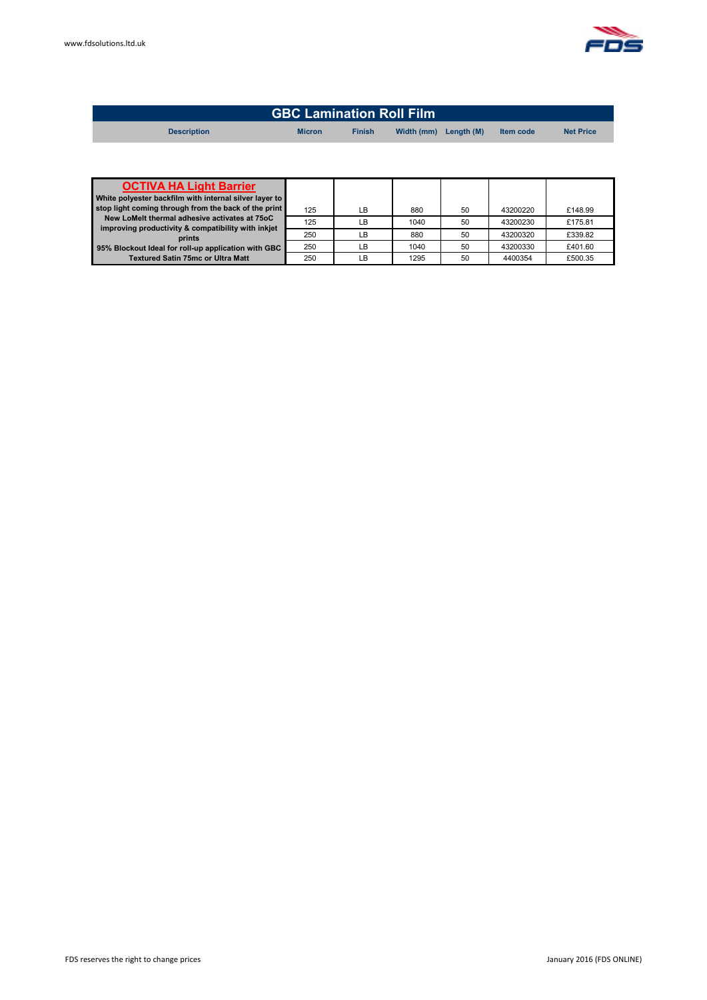| <b>GBC Lamination Roll Film</b> |               |               |                       |  |                  |                  |
|---------------------------------|---------------|---------------|-----------------------|--|------------------|------------------|
| <b>Description</b>              | <b>Micron</b> | <b>Finish</b> | Width (mm) Length (M) |  | <b>Item code</b> | <b>Net Price</b> |
|                                 |               |               |                       |  |                  |                  |

| <b>OCTIVA HA Light Barrier</b>                               |     |    |      |    |          |         |
|--------------------------------------------------------------|-----|----|------|----|----------|---------|
| White polyester backfilm with internal silver layer to       |     |    |      |    |          |         |
| stop light coming through from the back of the print         | 125 | LB | 880  | 50 | 43200220 | £148.99 |
| New LoMelt thermal adhesive activates at 75oC                | 125 | LB | 1040 | 50 | 43200230 | £175.81 |
| improving productivity & compatibility with inkjet<br>prints | 250 | LB | 880  | 50 | 43200320 | £339.82 |
| 95% Blockout Ideal for roll-up application with GBC          | 250 | LB | 1040 | 50 | 43200330 | £401.60 |
| <b>Textured Satin 75mc or Ultra Matt</b>                     | 250 | LB | 1295 | 50 | 4400354  | £500.35 |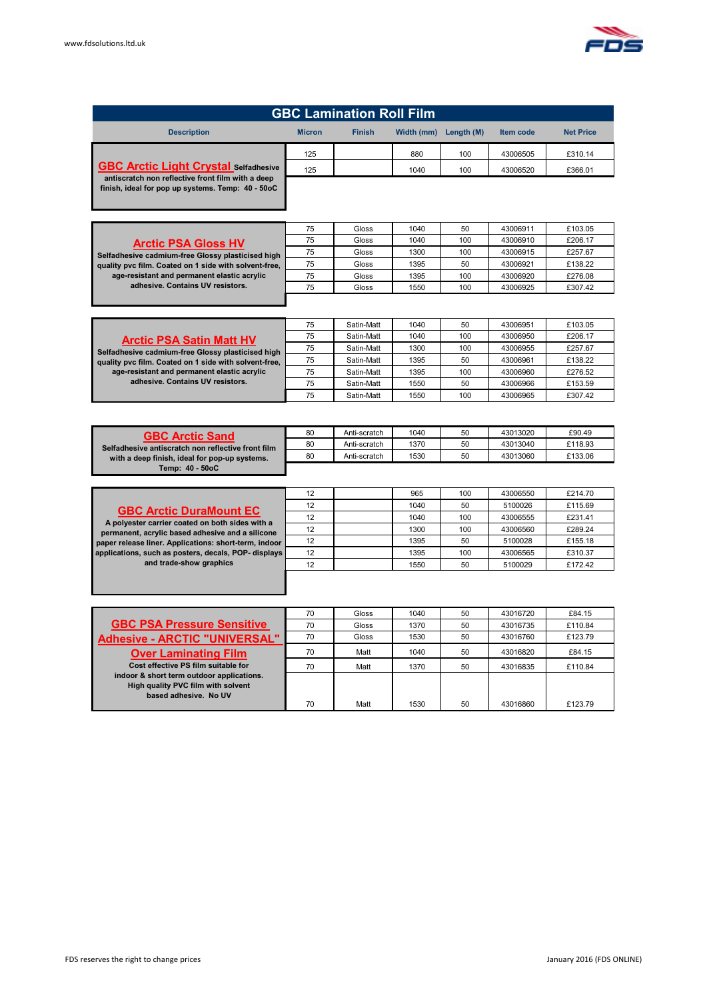

| <b>GBC Lamination Roll Film</b>                                                                        |               |               |            |            |           |                  |  |
|--------------------------------------------------------------------------------------------------------|---------------|---------------|------------|------------|-----------|------------------|--|
| <b>Description</b>                                                                                     | <b>Micron</b> | <b>Finish</b> | Width (mm) | Length (M) | Item code | <b>Net Price</b> |  |
| <b>GBC Arctic Light Crystal Selfadhesive</b>                                                           | 125           |               | 880        | 100        | 43006505  | £310.14          |  |
|                                                                                                        | 125           |               | 1040       | 100        | 43006520  | £366.01          |  |
| antiscratch non reflective front film with a deep<br>finish, ideal for pop up systems. Temp: 40 - 50oC |               |               |            |            |           |                  |  |

|                                                       | 75 | Gloss | 1040 | 50  | 43006911 | £103.05 |
|-------------------------------------------------------|----|-------|------|-----|----------|---------|
| <b>Arctic PSA Gloss HV</b>                            | 75 | Gloss | 1040 | 100 | 43006910 | £206.17 |
| Selfadhesive cadmium-free Glossy plasticised high     | 75 | Gloss | 1300 | 100 | 43006915 | £257.67 |
| quality pvc film. Coated on 1 side with solvent-free. | 75 | Gloss | 1395 | 50  | 43006921 | £138.22 |
| age-resistant and permanent elastic acrylic           | 75 | Gloss | 1395 | 100 | 43006920 | £276.08 |
| adhesive. Contains UV resistors.                      | 75 | Gloss | 1550 | 100 | 43006925 | £307.42 |
|                                                       |    |       |      |     |          |         |

|                                                       | 75 | Satin-Matt | 1040 | 50  | 43006951 | £103.05 |
|-------------------------------------------------------|----|------------|------|-----|----------|---------|
| <b>Arctic PSA Satin Matt HV</b>                       | 75 | Satin-Matt | 1040 | 100 | 43006950 | £206.17 |
| Selfadhesive cadmium-free Glossy plasticised high     | 75 | Satin-Matt | 1300 | 100 | 43006955 | £257.67 |
| quality pvc film. Coated on 1 side with solvent-free, | 75 | Satin-Matt | 1395 | 50  | 43006961 | £138.22 |
| age-resistant and permanent elastic acrylic           | 75 | Satin-Matt | 1395 | 100 | 43006960 | £276.52 |
| adhesive. Contains UV resistors.                      | 75 | Satin-Matt | 1550 | 50  | 43006966 | £153.59 |
|                                                       | 75 | Satin-Matt | 1550 | 100 | 43006965 | £307.42 |

| <b>GBC Arctic Sand</b>                             | 80 | Anti-scratch | 1040 | 50 | 43013020 | £90.49  |
|----------------------------------------------------|----|--------------|------|----|----------|---------|
| Selfadhesive antiscratch non reflective front film | 80 | Anti-scratch | 1370 | 50 | 43013040 | £118.93 |
| with a deep finish, ideal for pop-up systems.      | 80 | Anti-scratch | 1530 | 50 | 43013060 | £133.06 |
| Temp: 40 - 50oC                                    |    |              |      |    |          |         |

|                                                       | 12 | 965  | 100 | 43006550 | £214.70 |
|-------------------------------------------------------|----|------|-----|----------|---------|
| <b>GBC Arctic DuraMount EC</b>                        | 12 | 1040 | 50  | 5100026  | £115.69 |
| A polyester carrier coated on both sides with a       | 12 | 1040 | 100 | 43006555 | £231.41 |
| permanent, acrylic based adhesive and a silicone      | 12 | 1300 | 100 | 43006560 | £289.24 |
| paper release liner. Applications: short-term, indoor | 12 | 1395 | 50  | 5100028  | £155.18 |
| applications, such as posters, decals, POP- displays  | 12 | 1395 | 100 | 43006565 | £310.37 |
| and trade-show graphics                               | 12 | 1550 | 50  | 5100029  | £172.42 |
|                                                       |    |      |     |          |         |

|                                                                                 | 70 | Gloss | 1040 | 50 | 43016720 | £84.15  |
|---------------------------------------------------------------------------------|----|-------|------|----|----------|---------|
| <b>GBC PSA Pressure Sensitive</b>                                               | 70 | Gloss | 1370 | 50 | 43016735 | £110.84 |
| <b>Adhesive - ARCTIC "UNIVERSAL"</b>                                            | 70 | Gloss | 1530 | 50 | 43016760 | £123.79 |
| <b>Over Laminating Film</b>                                                     | 70 | Matt  | 1040 | 50 | 43016820 | £84.15  |
| Cost effective PS film suitable for                                             | 70 | Matt  | 1370 | 50 | 43016835 | £110.84 |
| indoor & short term outdoor applications.<br>High quality PVC film with solvent |    |       |      |    |          |         |
| based adhesive. No UV                                                           |    |       |      |    |          |         |
|                                                                                 | 70 | Matt  | 1530 | 50 | 43016860 | £123.79 |